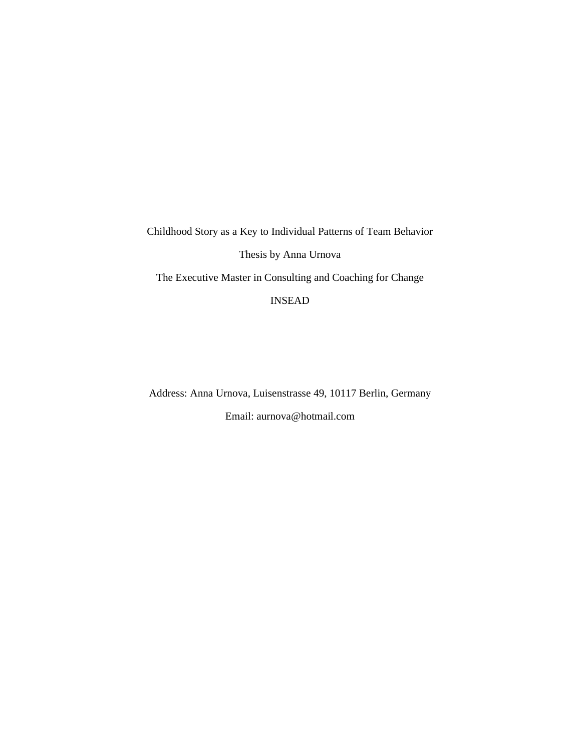Childhood Story as a Key to Individual Patterns of Team Behavior Thesis by Anna Urnova The Executive Master in Consulting and Coaching for Change

INSEAD

Address: Anna Urnova, Luisenstrasse 49, 10117 Berlin, Germany

Email: aurnova@hotmail.com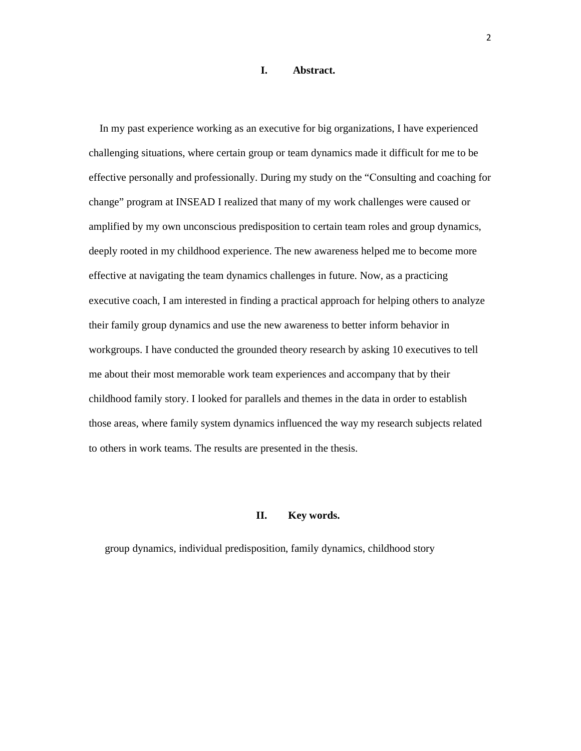# **I. Abstract.**

 In my past experience working as an executive for big organizations, I have experienced challenging situations, where certain group or team dynamics made it difficult for me to be effective personally and professionally. During my study on the "Сonsulting and coaching for change" program at INSEAD I realized that many of my work challenges were caused or amplified by my own unconscious predisposition to certain team roles and group dynamics, deeply rooted in my childhood experience. The new awareness helped me to become more effective at navigating the team dynamics challenges in future. Now, as a practicing executive coach, I am interested in finding a practical approach for helping others to analyze their family group dynamics and use the new awareness to better inform behavior in workgroups. I have conducted the grounded theory research by asking 10 executives to tell me about their most memorable work team experiences and accompany that by their childhood family story. I looked for parallels and themes in the data in order to establish those areas, where family system dynamics influenced the way my research subjects related to others in work teams. The results are presented in the thesis.

## **II. Key words.**

group dynamics, individual predisposition, family dynamics, childhood story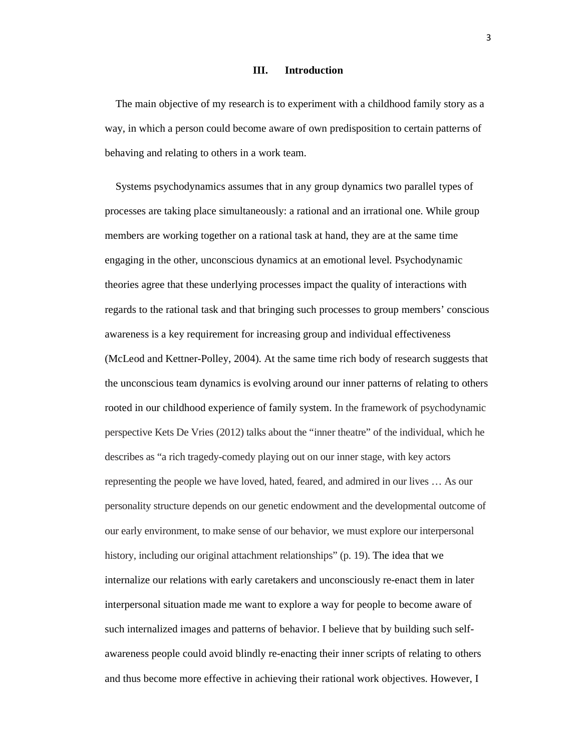#### **III. Introduction**

 The main objective of my research is to experiment with a childhood family story as a way, in which a person could become aware of own predisposition to certain patterns of behaving and relating to others in a work team.

 Systems psychodynamics assumes that in any group dynamics two parallel types of processes are taking place simultaneously: a rational and an irrational one. While group members are working together on a rational task at hand, they are at the same time engaging in the other, unconscious dynamics at an emotional level. Psychodynamic theories agree that these underlying processes impact the quality of interactions with regards to the rational task and that bringing such processes to group members' conscious awareness is a key requirement for increasing group and individual effectiveness (McLeod and Kettner-Polley, 2004). At the same time rich body of research suggests that the unconscious team dynamics is evolving around our inner patterns of relating to others rooted in our childhood experience of family system. In the framework of psychodynamic perspective Kets De Vries (2012) talks about the "inner theatre" of the individual, which he describes as "a rich tragedy-comedy playing out on our inner stage, with key actors representing the people we have loved, hated, feared, and admired in our lives … As our personality structure depends on our genetic endowment and the developmental outcome of our early environment, to make sense of our behavior, we must explore our interpersonal history, including our original attachment relationships" (p. 19). The idea that we internalize our relations with early caretakers and unconsciously re-enact them in later interpersonal situation made me want to explore a way for people to become aware of such internalized images and patterns of behavior. I believe that by building such selfawareness people could avoid blindly re-enacting their inner scripts of relating to others and thus become more effective in achieving their rational work objectives. However, I

3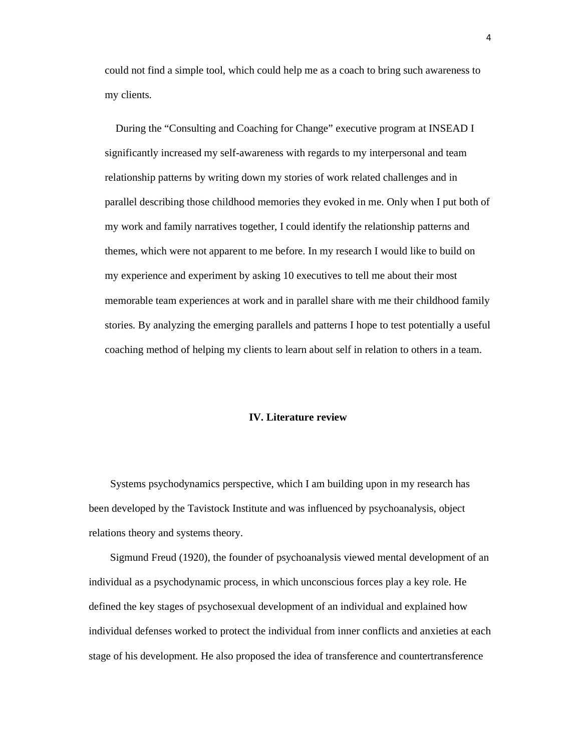could not find a simple tool, which could help me as a coach to bring such awareness to my clients.

 During the "Consulting and Coaching for Change" executive program at INSEAD I significantly increased my self-awareness with regards to my interpersonal and team relationship patterns by writing down my stories of work related challenges and in parallel describing those childhood memories they evoked in me. Only when I put both of my work and family narratives together, I could identify the relationship patterns and themes, which were not apparent to me before. In my research I would like to build on my experience and experiment by asking 10 executives to tell me about their most memorable team experiences at work and in parallel share with me their childhood family stories. By analyzing the emerging parallels and patterns I hope to test potentially a useful coaching method of helping my clients to learn about self in relation to others in a team.

#### **IV. Literature review**

Systems psychodynamics perspective, which I am building upon in my research has been developed by the Tavistock Institute and was influenced by psychoanalysis, object relations theory and systems theory.

Sigmund Freud (1920), the founder of psychoanalysis viewed mental development of an individual as a psychodynamic process, in which unconscious forces play a key role. He defined the key stages of psychosexual development of an individual and explained how individual defenses worked to protect the individual from inner conflicts and anxieties at each stage of his development. He also proposed the idea of transference and countertransference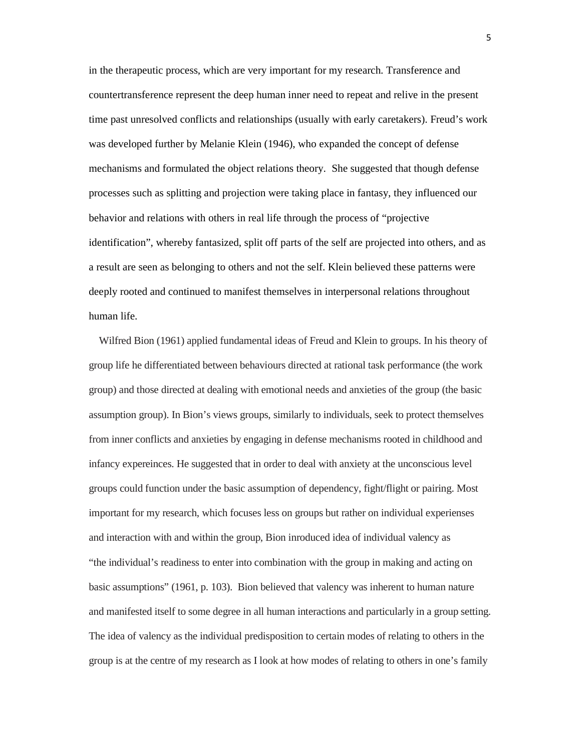in the therapeutic process, which are very important for my research. Transference and countertransference represent the deep human inner need to repeat and relive in the present time past unresolved conflicts and relationships (usually with early caretakers). Freud's work was developed further by Melanie Klein (1946), who expanded the concept of defense mechanisms and formulated the object relations theory. She suggested that though defense processes such as splitting and projection were taking place in fantasy, they influenced our behavior and relations with others in real life through the process of "projective identification", whereby fantasized, split off parts of the self are projected into others, and as a result are seen as belonging to others and not the self. Klein believed these patterns were deeply rooted and continued to manifest themselves in interpersonal relations throughout human life.

 Wilfred Bion (1961) applied fundamental ideas of Freud and Klein to groups. In his theory of group life he differentiated between behaviours directed at rational task performance (the work group) and those directed at dealing with emotional needs and anxieties of the group (the basic assumption group). In Bion's views groups, similarly to individuals, seek to protect themselves from inner conflicts and anxieties by engaging in defense mechanisms rooted in childhood and infancy expereinces. He suggested that in order to deal with anxiety at the unconscious level groups could function under the basic assumption of dependency, fight/flight or pairing. Most important for my research, which focuses less on groups but rather on individual experienses and interaction with and within the group, Bion inroduced idea of individual valency as "the individual's readiness to enter into combination with the group in making and acting on basic assumptions" (1961, p. 103). Bion believed that valency was inherent to human nature and manifested itself to some degree in all human interactions and particularly in a group setting. The idea of valency as the individual predisposition to certain modes of relating to others in the group is at the centre of my research as I look at how modes of relating to others in one's family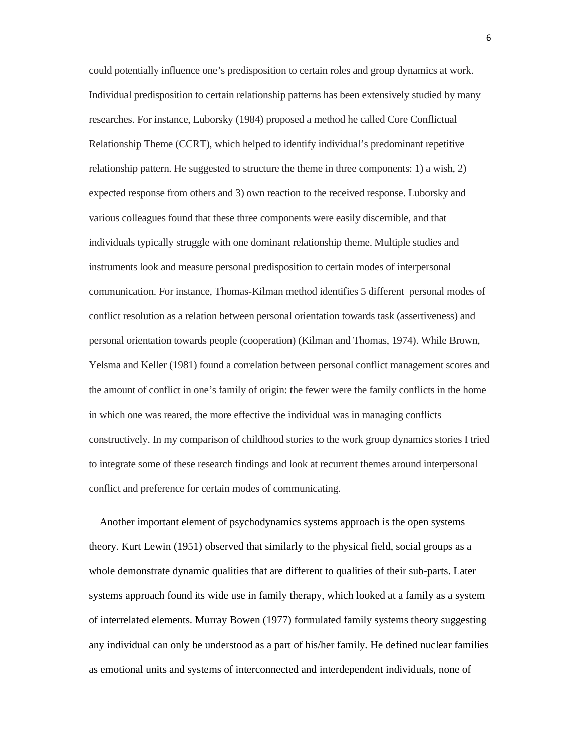could potentially influence one's predisposition to certain roles and group dynamics at work. Individual predisposition to certain relationship patterns has been extensively studied by many researches. For instance, Luborsky (1984) proposed a method he called Core Conflictual Relationship Theme (CCRT), which helped to identify individual's predominant repetitive relationship pattern. He suggested to structure the theme in three components: 1) a wish, 2) expected response from others and 3) own reaction to the received response. Luborsky and various colleagues found that these three components were easily discernible, and that individuals typically struggle with one dominant relationship theme. Multiple studies and instruments look and measure personal predisposition to certain modes of interpersonal communication. For instance, Thomas-Kilman method identifies 5 different personal modes of conflict resolution as a relation between personal orientation towards task (assertiveness) and personal orientation towards people (cooperation) (Kilman and Thomas, 1974). While Brown, Yelsma and Keller (1981) found a correlation between personal conflict management scores and the amount of conflict in one's family of origin: the fewer were the family conflicts in the home in which one was reared, the more effective the individual was in managing conflicts constructively. In my comparison of childhood stories to the work group dynamics stories I tried to integrate some of these research findings and look at recurrent themes around interpersonal conflict and preference for certain modes of communicating.

 Another important element of psychodynamics systems approach is the open systems theory. Kurt Lewin (1951) observed that similarly to the physical field, social groups as a whole demonstrate dynamic qualities that are different to qualities of their sub-parts. Later systems approach found its wide use in family therapy, which looked at a family as a system of interrelated elements. Murray Bowen (1977) formulated family systems theory suggesting any individual can only be understood as a part of his/her family. He defined nuclear families as emotional units and systems of interconnected and interdependent individuals, none of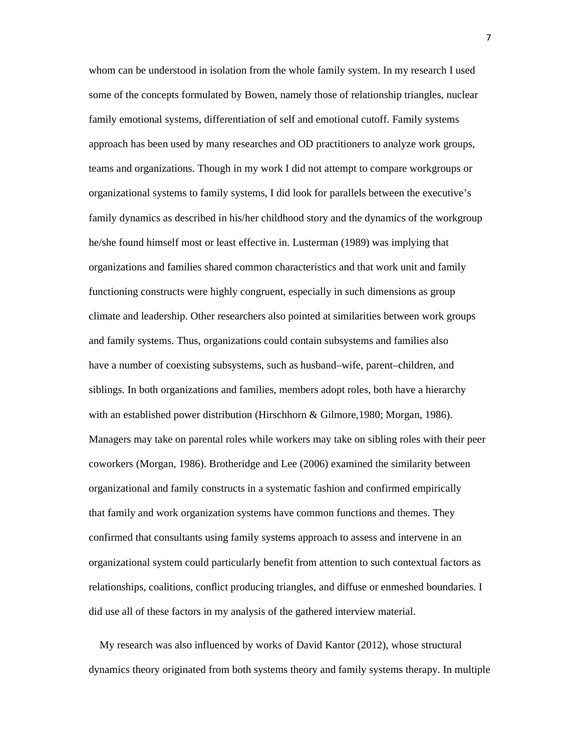whom can be understood in isolation from the whole family system. In my research I used some of the concepts formulated by Bowen, namely those of relationship triangles, nuclear family emotional systems, differentiation of self and emotional cutoff. Family systems approach has been used by many researches and OD practitioners to analyze work groups, teams and organizations. Though in my work I did not attempt to compare workgroups or organizational systems to family systems, I did look for parallels between the executive's family dynamics as described in his/her childhood story and the dynamics of the workgroup he/she found himself most or least effective in. Lusterman (1989) was implying that organizations and families shared common characteristics and that work unit and family functioning constructs were highly congruent, especially in such dimensions as group climate and leadership. Other researchers also pointed at similarities between work groups and family systems. Thus, organizations could contain subsystems and families also have a number of coexisting subsystems, such as husband–wife, parent–children, and siblings. In both organizations and families, members adopt roles, both have a hierarchy with an established power distribution (Hirschhorn & Gilmore,1980; Morgan, 1986). Managers may take on parental roles while workers may take on sibling roles with their peer coworkers (Morgan, 1986). Brotheridge and Lee (2006) examined the similarity between organizational and family constructs in a systematic fashion and confirmed empirically that family and work organization systems have common functions and themes. They confirmed that consultants using family systems approach to assess and intervene in an organizational system could particularly benefit from attention to such contextual factors as relationships, coalitions, conflict producing triangles, and diffuse or enmeshed boundaries. I did use all of these factors in my analysis of the gathered interview material.

 My research was also influenced by works of David Kantor (2012), whose structural dynamics theory originated from both systems theory and family systems therapy. In multiple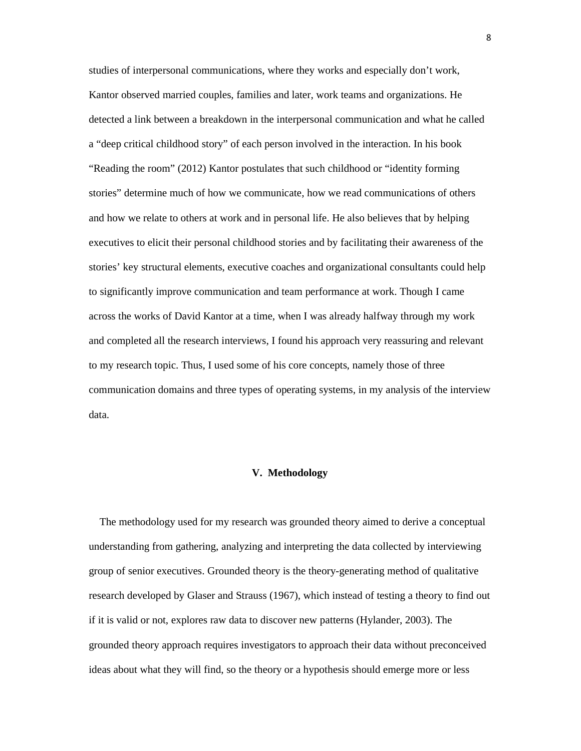studies of interpersonal communications, where they works and especially don't work, Kantor observed married couples, families and later, work teams and organizations. He detected a link between a breakdown in the interpersonal communication and what he called a "deep critical childhood story" of each person involved in the interaction. In his book "Reading the room" (2012) Kantor postulates that such childhood or "identity forming stories" determine much of how we communicate, how we read communications of others and how we relate to others at work and in personal life. He also believes that by helping executives to elicit their personal childhood stories and by facilitating their awareness of the stories' key structural elements, executive coaches and organizational consultants could help to significantly improve communication and team performance at work. Though I came across the works of David Kantor at a time, when I was already halfway through my work and completed all the research interviews, I found his approach very reassuring and relevant to my research topic. Thus, I used some of his core concepts, namely those of three communication domains and three types of operating systems, in my analysis of the interview data.

## **V. Methodology**

 The methodology used for my research was grounded theory aimed to derive a conceptual understanding from gathering, analyzing and interpreting the data collected by interviewing group of senior executives. Grounded theory is the theory-generating method of qualitative research developed by Glaser and Strauss (1967), which instead of testing a theory to find out if it is valid or not, explores raw data to discover new patterns (Hylander, 2003). The grounded theory approach requires investigators to approach their data without preconceived ideas about what they will find, so the theory or a hypothesis should emerge more or less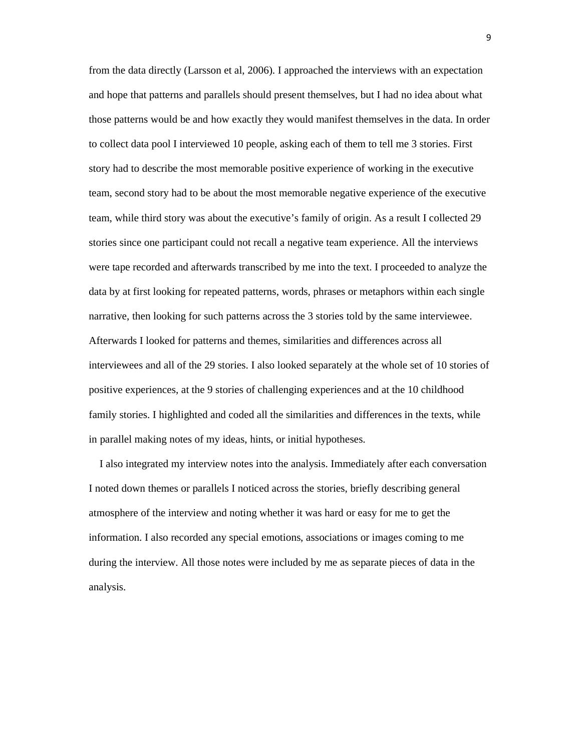from the data directly (Larsson et al, 2006). I approached the interviews with an expectation and hope that patterns and parallels should present themselves, but I had no idea about what those patterns would be and how exactly they would manifest themselves in the data. In order to collect data pool I interviewed 10 people, asking each of them to tell me 3 stories. First story had to describe the most memorable positive experience of working in the executive team, second story had to be about the most memorable negative experience of the executive team, while third story was about the executive's family of origin. As a result I collected 29 stories since one participant could not recall a negative team experience. All the interviews were tape recorded and afterwards transcribed by me into the text. I proceeded to analyze the data by at first looking for repeated patterns, words, phrases or metaphors within each single narrative, then looking for such patterns across the 3 stories told by the same interviewee. Afterwards I looked for patterns and themes, similarities and differences across all interviewees and all of the 29 stories. I also looked separately at the whole set of 10 stories of positive experiences, at the 9 stories of challenging experiences and at the 10 childhood family stories. I highlighted and coded all the similarities and differences in the texts, while in parallel making notes of my ideas, hints, or initial hypotheses.

 I also integrated my interview notes into the analysis. Immediately after each conversation I noted down themes or parallels I noticed across the stories, briefly describing general atmosphere of the interview and noting whether it was hard or easy for me to get the information. I also recorded any special emotions, associations or images coming to me during the interview. All those notes were included by me as separate pieces of data in the analysis.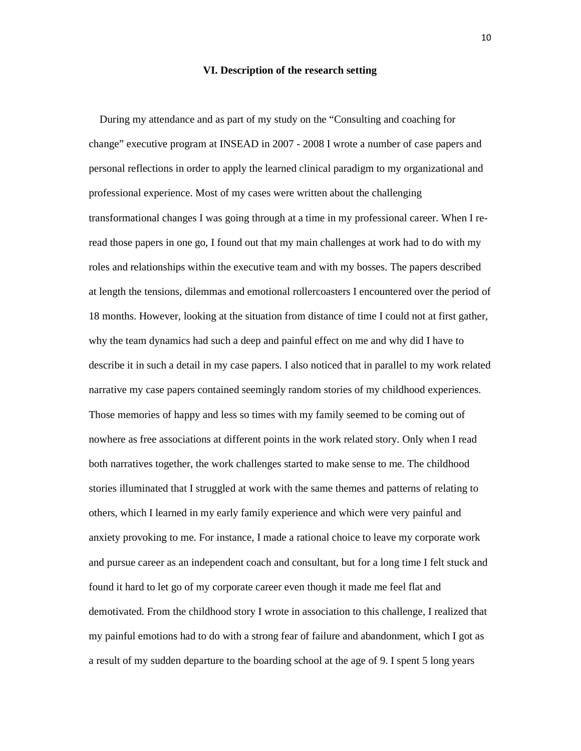#### **VI. Description of the research setting**

 During my attendance and as part of my study on the "Consulting and coaching for change" executive program at INSEAD in 2007 - 2008 I wrote a number of case papers and personal reflections in order to apply the learned clinical paradigm to my organizational and professional experience. Most of my cases were written about the challenging transformational changes I was going through at a time in my professional career. When I reread those papers in one go, I found out that my main challenges at work had to do with my roles and relationships within the executive team and with my bosses. The papers described at length the tensions, dilemmas and emotional rollercoasters I encountered over the period of 18 months. However, looking at the situation from distance of time I could not at first gather, why the team dynamics had such a deep and painful effect on me and why did I have to describe it in such a detail in my case papers. I also noticed that in parallel to my work related narrative my case papers contained seemingly random stories of my childhood experiences. Those memories of happy and less so times with my family seemed to be coming out of nowhere as free associations at different points in the work related story. Only when I read both narratives together, the work challenges started to make sense to me. The childhood stories illuminated that I struggled at work with the same themes and patterns of relating to others, which I learned in my early family experience and which were very painful and anxiety provoking to me. For instance, I made a rational choice to leave my corporate work and pursue career as an independent coach and consultant, but for a long time I felt stuck and found it hard to let go of my corporate career even though it made me feel flat and demotivated. From the childhood story I wrote in association to this challenge, I realized that my painful emotions had to do with a strong fear of failure and abandonment, which I got as a result of my sudden departure to the boarding school at the age of 9. I spent 5 long years

10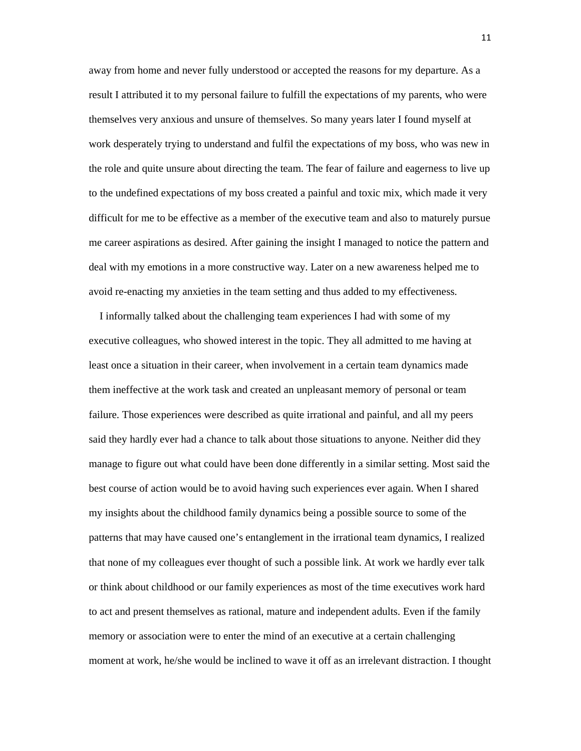away from home and never fully understood or accepted the reasons for my departure. As a result I attributed it to my personal failure to fulfill the expectations of my parents, who were themselves very anxious and unsure of themselves. So many years later I found myself at work desperately trying to understand and fulfil the expectations of my boss, who was new in the role and quite unsure about directing the team. The fear of failure and eagerness to live up to the undefined expectations of my boss created a painful and toxic mix, which made it very difficult for me to be effective as a member of the executive team and also to maturely pursue me career aspirations as desired. After gaining the insight I managed to notice the pattern and deal with my emotions in a more constructive way. Later on a new awareness helped me to avoid re-enacting my anxieties in the team setting and thus added to my effectiveness.

 I informally talked about the challenging team experiences I had with some of my executive colleagues, who showed interest in the topic. They all admitted to me having at least once a situation in their career, when involvement in a certain team dynamics made them ineffective at the work task and created an unpleasant memory of personal or team failure. Those experiences were described as quite irrational and painful, and all my peers said they hardly ever had a chance to talk about those situations to anyone. Neither did they manage to figure out what could have been done differently in a similar setting. Most said the best course of action would be to avoid having such experiences ever again. When I shared my insights about the childhood family dynamics being a possible source to some of the patterns that may have caused one's entanglement in the irrational team dynamics, I realized that none of my colleagues ever thought of such a possible link. At work we hardly ever talk or think about childhood or our family experiences as most of the time executives work hard to act and present themselves as rational, mature and independent adults. Even if the family memory or association were to enter the mind of an executive at a certain challenging moment at work, he/she would be inclined to wave it off as an irrelevant distraction. I thought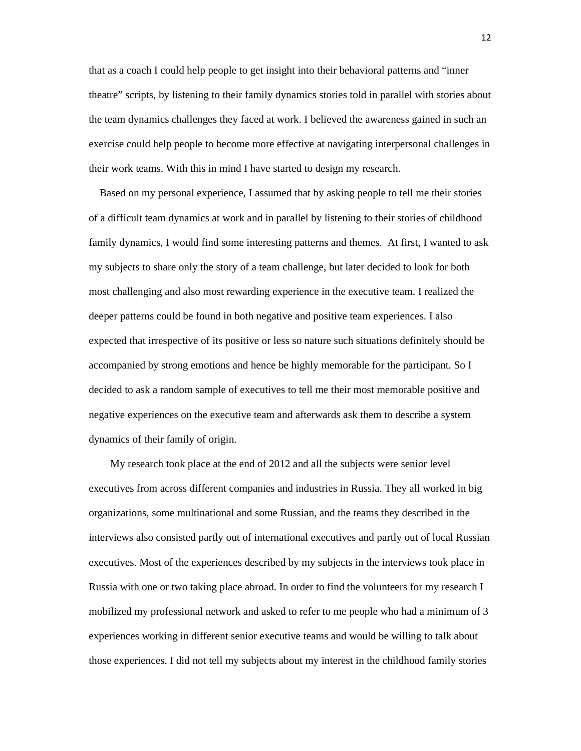that as a coach I could help people to get insight into their behavioral patterns and "inner theatre" scripts, by listening to their family dynamics stories told in parallel with stories about the team dynamics challenges they faced at work. I believed the awareness gained in such an exercise could help people to become more effective at navigating interpersonal challenges in their work teams. With this in mind I have started to design my research.

 Based on my personal experience, I assumed that by asking people to tell me their stories of a difficult team dynamics at work and in parallel by listening to their stories of childhood family dynamics, I would find some interesting patterns and themes. At first, I wanted to ask my subjects to share only the story of a team challenge, but later decided to look for both most challenging and also most rewarding experience in the executive team. I realized the deeper patterns could be found in both negative and positive team experiences. I also expected that irrespective of its positive or less so nature such situations definitely should be accompanied by strong emotions and hence be highly memorable for the participant. So I decided to ask a random sample of executives to tell me their most memorable positive and negative experiences on the executive team and afterwards ask them to describe a system dynamics of their family of origin.

 My research took place at the end of 2012 and all the subjects were senior level executives from across different companies and industries in Russia. They all worked in big organizations, some multinational and some Russian, and the teams they described in the interviews also consisted partly out of international executives and partly out of local Russian executives. Most of the experiences described by my subjects in the interviews took place in Russia with one or two taking place abroad. In order to find the volunteers for my research I mobilized my professional network and asked to refer to me people who had a minimum of 3 experiences working in different senior executive teams and would be willing to talk about those experiences. I did not tell my subjects about my interest in the childhood family stories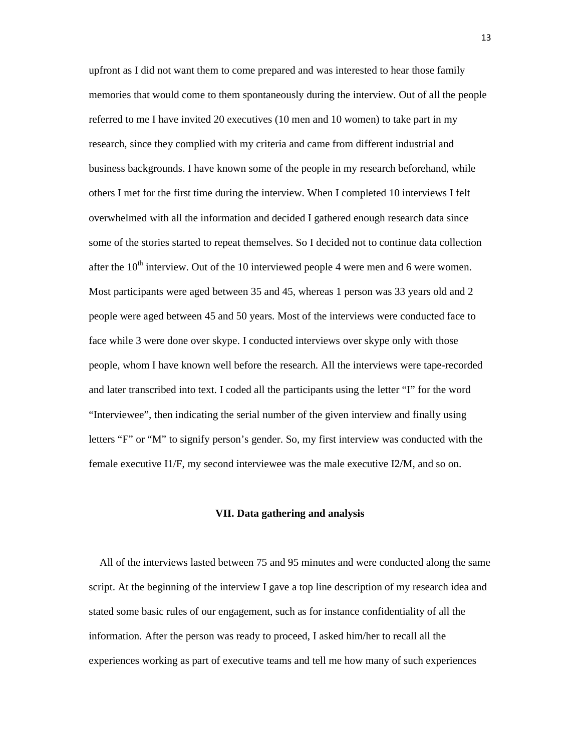upfront as I did not want them to come prepared and was interested to hear those family memories that would come to them spontaneously during the interview. Out of all the people referred to me I have invited 20 executives (10 men and 10 women) to take part in my research, since they complied with my criteria and came from different industrial and business backgrounds. I have known some of the people in my research beforehand, while others I met for the first time during the interview. When I completed 10 interviews I felt overwhelmed with all the information and decided I gathered enough research data since some of the stories started to repeat themselves. So I decided not to continue data collection after the  $10<sup>th</sup>$  interview. Out of the 10 interviewed people 4 were men and 6 were women. Most participants were aged between 35 and 45, whereas 1 person was 33 years old and 2 people were aged between 45 and 50 years. Most of the interviews were conducted face to face while 3 were done over skype. I conducted interviews over skype only with those people, whom I have known well before the research. All the interviews were tape-recorded and later transcribed into text. I coded all the participants using the letter "I" for the word "Interviewee", then indicating the serial number of the given interview and finally using letters "F" or "M" to signify person's gender. So, my first interview was conducted with the female executive I1/F, my second interviewee was the male executive I2/M, and so on.

#### **VII. Data gathering and analysis**

 All of the interviews lasted between 75 and 95 minutes and were conducted along the same script. At the beginning of the interview I gave a top line description of my research idea and stated some basic rules of our engagement, such as for instance confidentiality of all the information. After the person was ready to proceed, I asked him/her to recall all the experiences working as part of executive teams and tell me how many of such experiences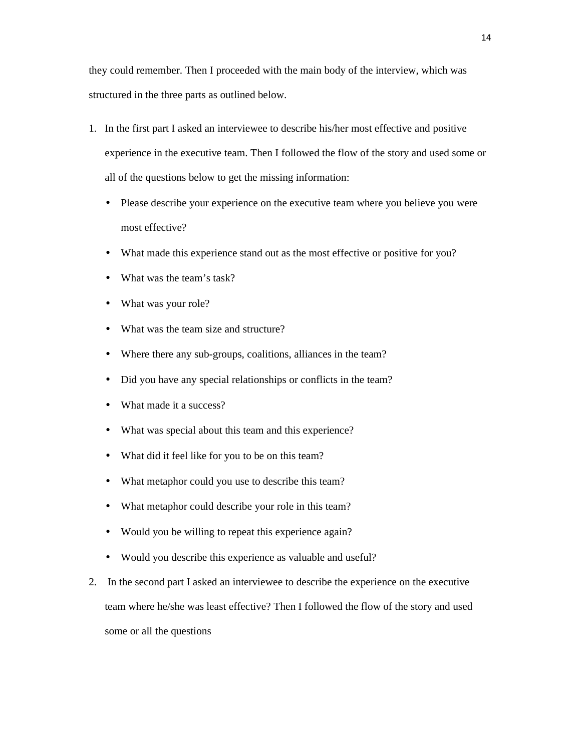they could remember. Then I proceeded with the main body of the interview, which was structured in the three parts as outlined below.

- 1. In the first part I asked an interviewee to describe his/her most effective and positive experience in the executive team. Then I followed the flow of the story and used some or all of the questions below to get the missing information:
	- Please describe your experience on the executive team where you believe you were most effective?
	- What made this experience stand out as the most effective or positive for you?
	- What was the team's task?
	- What was your role?
	- What was the team size and structure?
	- Where there any sub-groups, coalitions, alliances in the team?
	- Did you have any special relationships or conflicts in the team?
	- What made it a success?
	- What was special about this team and this experience?
	- What did it feel like for you to be on this team?
	- What metaphor could you use to describe this team?
	- What metaphor could describe your role in this team?
	- Would you be willing to repeat this experience again?
	- Would you describe this experience as valuable and useful?
- 2. In the second part I asked an interviewee to describe the experience on the executive team where he/she was least effective? Then I followed the flow of the story and used some or all the questions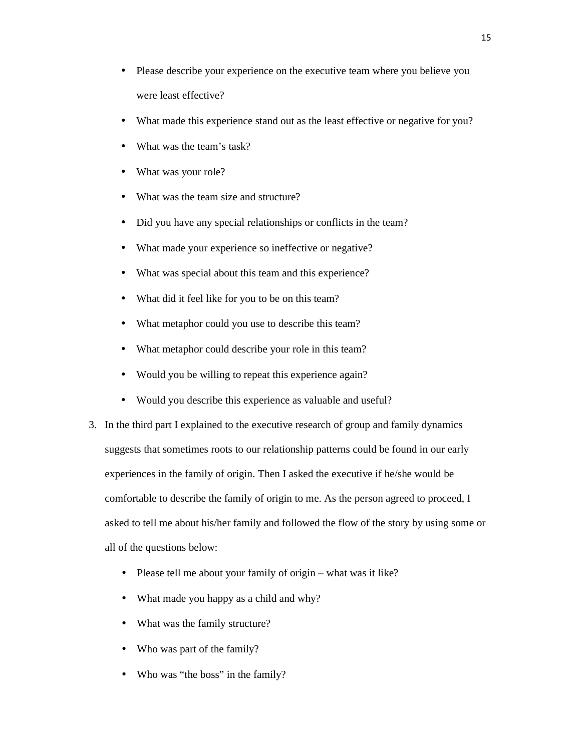- Please describe your experience on the executive team where you believe you were least effective?
- What made this experience stand out as the least effective or negative for you?
- What was the team's task?
- What was your role?
- What was the team size and structure?
- Did you have any special relationships or conflicts in the team?
- What made your experience so ineffective or negative?
- What was special about this team and this experience?
- What did it feel like for you to be on this team?
- What metaphor could you use to describe this team?
- What metaphor could describe your role in this team?
- Would you be willing to repeat this experience again?
- Would you describe this experience as valuable and useful?
- 3. In the third part I explained to the executive research of group and family dynamics suggests that sometimes roots to our relationship patterns could be found in our early experiences in the family of origin. Then I asked the executive if he/she would be comfortable to describe the family of origin to me. As the person agreed to proceed, I asked to tell me about his/her family and followed the flow of the story by using some or all of the questions below:
	- Please tell me about your family of origin what was it like?
	- What made you happy as a child and why?
	- What was the family structure?
	- Who was part of the family?
	- Who was "the boss" in the family?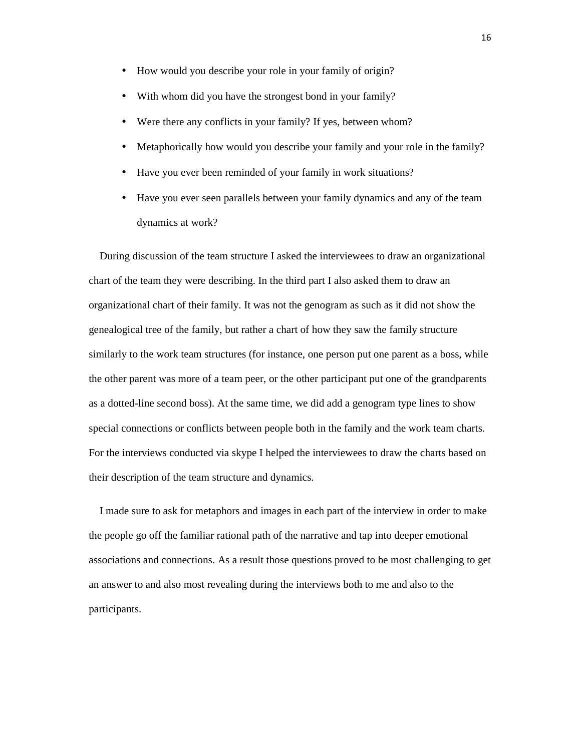- How would you describe your role in your family of origin?
- With whom did you have the strongest bond in your family?
- Were there any conflicts in your family? If yes, between whom?
- Metaphorically how would you describe your family and your role in the family?
- Have you ever been reminded of your family in work situations?
- Have you ever seen parallels between your family dynamics and any of the team dynamics at work?

 During discussion of the team structure I asked the interviewees to draw an organizational chart of the team they were describing. In the third part I also asked them to draw an organizational chart of their family. It was not the genogram as such as it did not show the genealogical tree of the family, but rather a chart of how they saw the family structure similarly to the work team structures (for instance, one person put one parent as a boss, while the other parent was more of a team peer, or the other participant put one of the grandparents as a dotted-line second boss). At the same time, we did add a genogram type lines to show special connections or conflicts between people both in the family and the work team charts. For the interviews conducted via skype I helped the interviewees to draw the charts based on their description of the team structure and dynamics.

 I made sure to ask for metaphors and images in each part of the interview in order to make the people go off the familiar rational path of the narrative and tap into deeper emotional associations and connections. As a result those questions proved to be most challenging to get an answer to and also most revealing during the interviews both to me and also to the participants.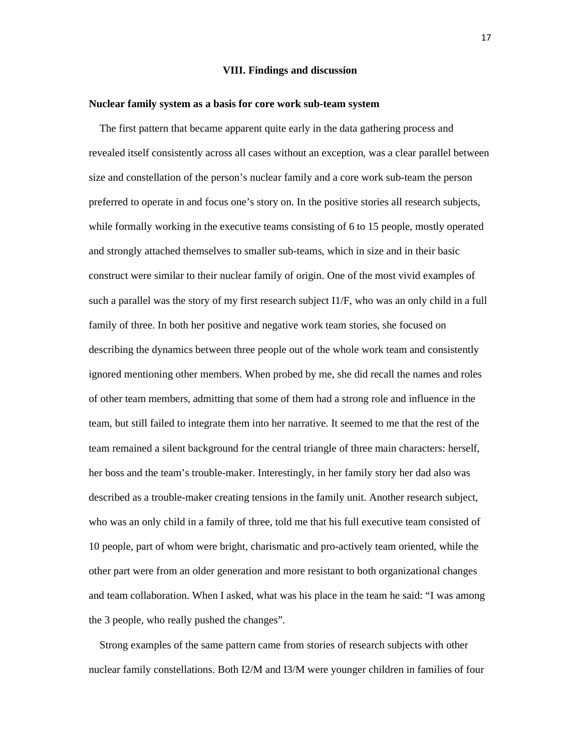## **VIII. Findings and discussion**

## **Nuclear family system as a basis for core work sub-team system**

 The first pattern that became apparent quite early in the data gathering process and revealed itself consistently across all cases without an exception, was a clear parallel between size and constellation of the person's nuclear family and a core work sub-team the person preferred to operate in and focus one's story on. In the positive stories all research subjects, while formally working in the executive teams consisting of 6 to 15 people, mostly operated and strongly attached themselves to smaller sub-teams, which in size and in their basic construct were similar to their nuclear family of origin. One of the most vivid examples of such a parallel was the story of my first research subject I1/F, who was an only child in a full family of three. In both her positive and negative work team stories, she focused on describing the dynamics between three people out of the whole work team and consistently ignored mentioning other members. When probed by me, she did recall the names and roles of other team members, admitting that some of them had a strong role and influence in the team, but still failed to integrate them into her narrative. It seemed to me that the rest of the team remained a silent background for the central triangle of three main characters: herself, her boss and the team's trouble-maker. Interestingly, in her family story her dad also was described as a trouble-maker creating tensions in the family unit. Another research subject, who was an only child in a family of three, told me that his full executive team consisted of 10 people, part of whom were bright, charismatic and pro-actively team oriented, while the other part were from an older generation and more resistant to both organizational changes and team collaboration. When I asked, what was his place in the team he said: "I was among the 3 people, who really pushed the changes".

 Strong examples of the same pattern came from stories of research subjects with other nuclear family constellations. Both I2/M and I3/M were younger children in families of four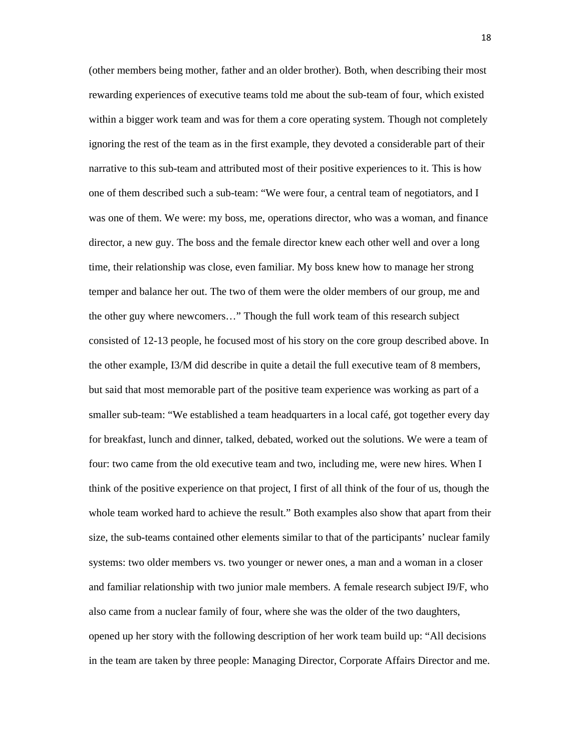(other members being mother, father and an older brother). Both, when describing their most rewarding experiences of executive teams told me about the sub-team of four, which existed within a bigger work team and was for them a core operating system. Though not completely ignoring the rest of the team as in the first example, they devoted a considerable part of their narrative to this sub-team and attributed most of their positive experiences to it. This is how one of them described such a sub-team: "We were four, a central team of negotiators, and I was one of them. We were: my boss, me, operations director, who was a woman, and finance director, a new guy. The boss and the female director knew each other well and over a long time, their relationship was close, even familiar. My boss knew how to manage her strong temper and balance her out. The two of them were the older members of our group, me and the other guy where newcomers…" Though the full work team of this research subject consisted of 12-13 people, he focused most of his story on the core group described above. In the other example, I3/M did describe in quite a detail the full executive team of 8 members, but said that most memorable part of the positive team experience was working as part of a smaller sub-team: "We established a team headquarters in a local café, got together every day for breakfast, lunch and dinner, talked, debated, worked out the solutions. We were a team of four: two came from the old executive team and two, including me, were new hires. When I think of the positive experience on that project, I first of all think of the four of us, though the whole team worked hard to achieve the result." Both examples also show that apart from their size, the sub-teams contained other elements similar to that of the participants' nuclear family systems: two older members vs. two younger or newer ones, a man and a woman in a closer and familiar relationship with two junior male members. A female research subject I9/F, who also came from a nuclear family of four, where she was the older of the two daughters, opened up her story with the following description of her work team build up: "All decisions in the team are taken by three people: Managing Director, Corporate Affairs Director and me.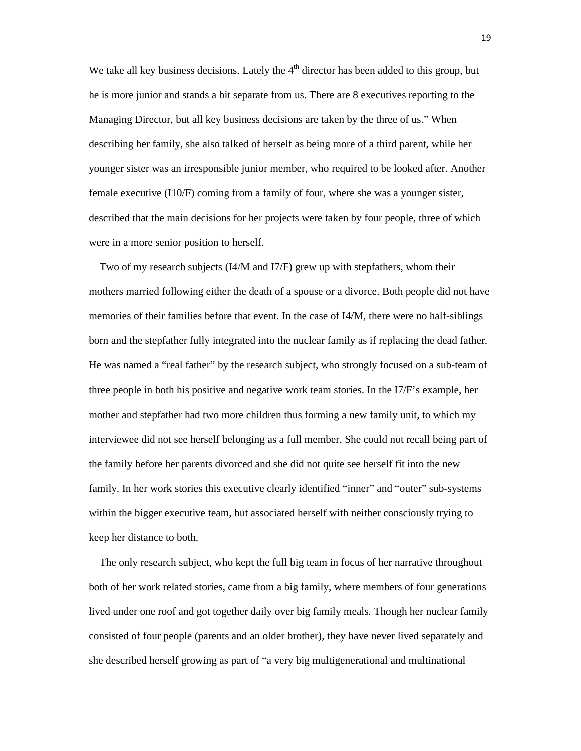We take all key business decisions. Lately the  $4<sup>th</sup>$  director has been added to this group, but he is more junior and stands a bit separate from us. There are 8 executives reporting to the Managing Director, but all key business decisions are taken by the three of us." When describing her family, she also talked of herself as being more of a third parent, while her younger sister was an irresponsible junior member, who required to be looked after. Another female executive (I10/F) coming from a family of four, where she was a younger sister, described that the main decisions for her projects were taken by four people, three of which were in a more senior position to herself.

 Two of my research subjects (I4/M and I7/F) grew up with stepfathers, whom their mothers married following either the death of a spouse or a divorce. Both people did not have memories of their families before that event. In the case of I4/M, there were no half-siblings born and the stepfather fully integrated into the nuclear family as if replacing the dead father. He was named a "real father" by the research subject, who strongly focused on a sub-team of three people in both his positive and negative work team stories. In the I7/F's example, her mother and stepfather had two more children thus forming a new family unit, to which my interviewee did not see herself belonging as a full member. She could not recall being part of the family before her parents divorced and she did not quite see herself fit into the new family. In her work stories this executive clearly identified "inner" and "outer" sub-systems within the bigger executive team, but associated herself with neither consciously trying to keep her distance to both.

 The only research subject, who kept the full big team in focus of her narrative throughout both of her work related stories, came from a big family, where members of four generations lived under one roof and got together daily over big family meals. Though her nuclear family consisted of four people (parents and an older brother), they have never lived separately and she described herself growing as part of "a very big multigenerational and multinational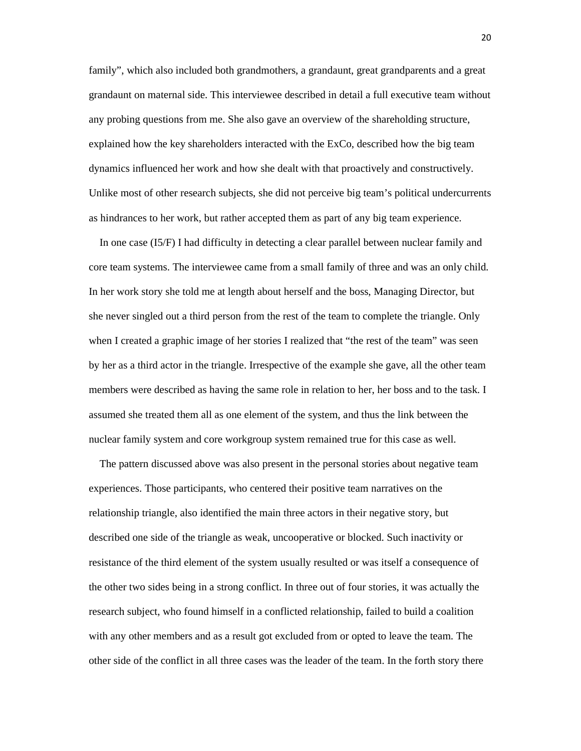family", which also included both grandmothers, a grandaunt, great grandparents and a great grandaunt on maternal side. This interviewee described in detail a full executive team without any probing questions from me. She also gave an overview of the shareholding structure, explained how the key shareholders interacted with the ExCo, described how the big team dynamics influenced her work and how she dealt with that proactively and constructively. Unlike most of other research subjects, she did not perceive big team's political undercurrents as hindrances to her work, but rather accepted them as part of any big team experience.

 In one case (I5/F) I had difficulty in detecting a clear parallel between nuclear family and core team systems. The interviewee came from a small family of three and was an only child. In her work story she told me at length about herself and the boss, Managing Director, but she never singled out a third person from the rest of the team to complete the triangle. Only when I created a graphic image of her stories I realized that "the rest of the team" was seen by her as a third actor in the triangle. Irrespective of the example she gave, all the other team members were described as having the same role in relation to her, her boss and to the task. I assumed she treated them all as one element of the system, and thus the link between the nuclear family system and core workgroup system remained true for this case as well.

 The pattern discussed above was also present in the personal stories about negative team experiences. Those participants, who centered their positive team narratives on the relationship triangle, also identified the main three actors in their negative story, but described one side of the triangle as weak, uncooperative or blocked. Such inactivity or resistance of the third element of the system usually resulted or was itself a consequence of the other two sides being in a strong conflict. In three out of four stories, it was actually the research subject, who found himself in a conflicted relationship, failed to build a coalition with any other members and as a result got excluded from or opted to leave the team. The other side of the conflict in all three cases was the leader of the team. In the forth story there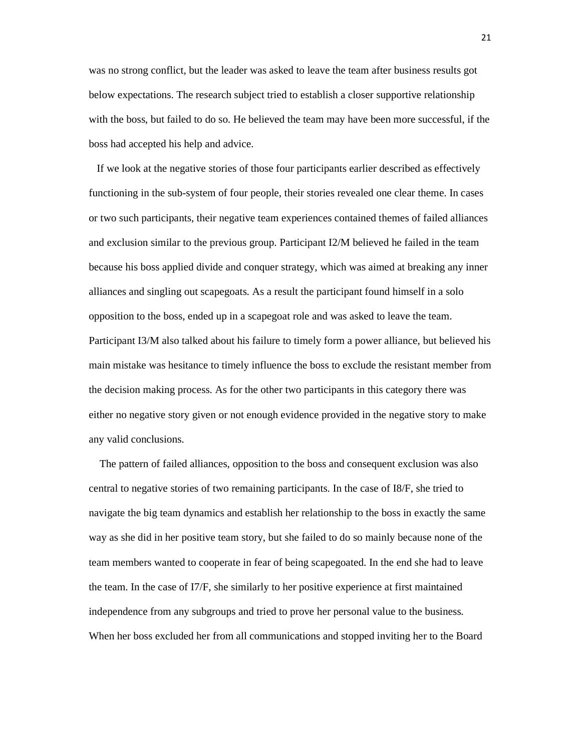was no strong conflict, but the leader was asked to leave the team after business results got below expectations. The research subject tried to establish a closer supportive relationship with the boss, but failed to do so. He believed the team may have been more successful, if the boss had accepted his help and advice.

 If we look at the negative stories of those four participants earlier described as effectively functioning in the sub-system of four people, their stories revealed one clear theme. In cases or two such participants, their negative team experiences contained themes of failed alliances and exclusion similar to the previous group. Participant I2/M believed he failed in the team because his boss applied divide and conquer strategy, which was aimed at breaking any inner alliances and singling out scapegoats. As a result the participant found himself in a solo opposition to the boss, ended up in a scapegoat role and was asked to leave the team. Participant I3/M also talked about his failure to timely form a power alliance, but believed his main mistake was hesitance to timely influence the boss to exclude the resistant member from the decision making process. As for the other two participants in this category there was either no negative story given or not enough evidence provided in the negative story to make any valid conclusions.

 The pattern of failed alliances, opposition to the boss and consequent exclusion was also central to negative stories of two remaining participants. In the case of I8/F, she tried to navigate the big team dynamics and establish her relationship to the boss in exactly the same way as she did in her positive team story, but she failed to do so mainly because none of the team members wanted to cooperate in fear of being scapegoated. In the end she had to leave the team. In the case of I7/F, she similarly to her positive experience at first maintained independence from any subgroups and tried to prove her personal value to the business. When her boss excluded her from all communications and stopped inviting her to the Board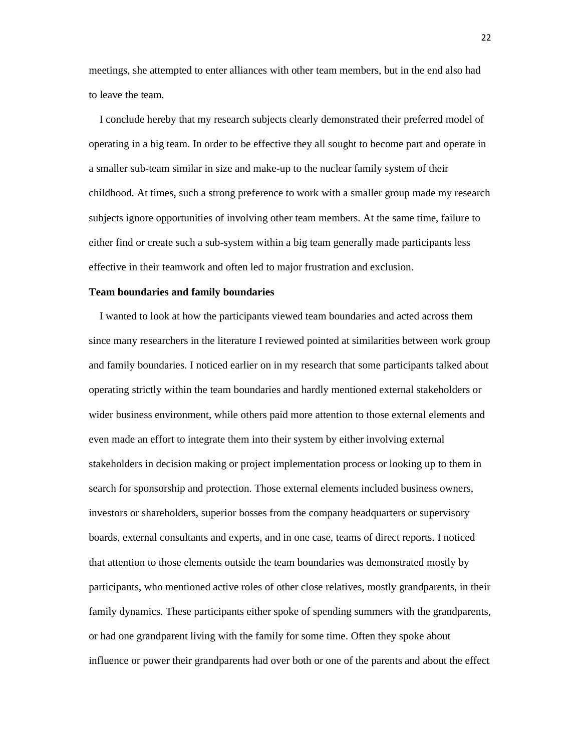meetings, she attempted to enter alliances with other team members, but in the end also had to leave the team.

 I conclude hereby that my research subjects clearly demonstrated their preferred model of operating in a big team. In order to be effective they all sought to become part and operate in a smaller sub-team similar in size and make-up to the nuclear family system of their childhood. At times, such a strong preference to work with a smaller group made my research subjects ignore opportunities of involving other team members. At the same time, failure to either find or create such a sub-system within a big team generally made participants less effective in their teamwork and often led to major frustration and exclusion.

## **Team boundaries and family boundaries**

 I wanted to look at how the participants viewed team boundaries and acted across them since many researchers in the literature I reviewed pointed at similarities between work group and family boundaries. I noticed earlier on in my research that some participants talked about operating strictly within the team boundaries and hardly mentioned external stakeholders or wider business environment, while others paid more attention to those external elements and even made an effort to integrate them into their system by either involving external stakeholders in decision making or project implementation process or looking up to them in search for sponsorship and protection. Those external elements included business owners, investors or shareholders, superior bosses from the company headquarters or supervisory boards, external consultants and experts, and in one case, teams of direct reports. I noticed that attention to those elements outside the team boundaries was demonstrated mostly by participants, who mentioned active roles of other close relatives, mostly grandparents, in their family dynamics. These participants either spoke of spending summers with the grandparents, or had one grandparent living with the family for some time. Often they spoke about influence or power their grandparents had over both or one of the parents and about the effect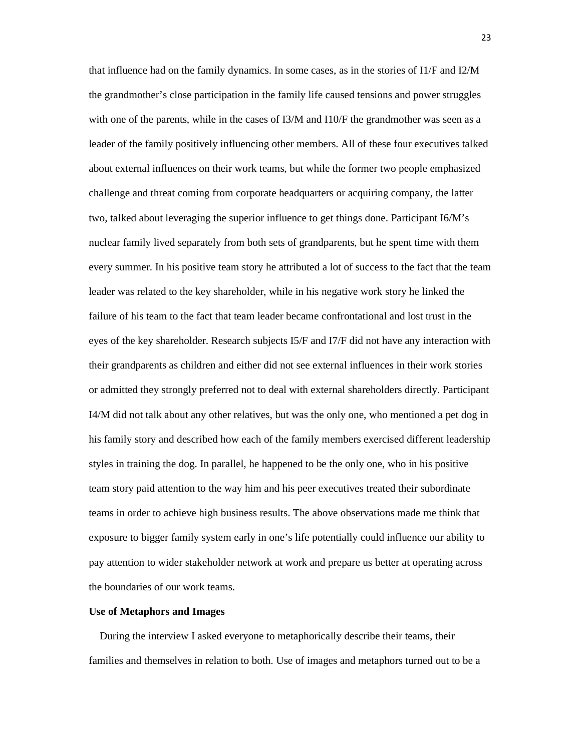that influence had on the family dynamics. In some cases, as in the stories of I1/F and I2/M the grandmother's close participation in the family life caused tensions and power struggles with one of the parents, while in the cases of I3/M and I10/F the grandmother was seen as a leader of the family positively influencing other members. All of these four executives talked about external influences on their work teams, but while the former two people emphasized challenge and threat coming from corporate headquarters or acquiring company, the latter two, talked about leveraging the superior influence to get things done. Participant I6/M's nuclear family lived separately from both sets of grandparents, but he spent time with them every summer. In his positive team story he attributed a lot of success to the fact that the team leader was related to the key shareholder, while in his negative work story he linked the failure of his team to the fact that team leader became confrontational and lost trust in the eyes of the key shareholder. Research subjects I5/F and I7/F did not have any interaction with their grandparents as children and either did not see external influences in their work stories or admitted they strongly preferred not to deal with external shareholders directly. Participant I4/M did not talk about any other relatives, but was the only one, who mentioned a pet dog in his family story and described how each of the family members exercised different leadership styles in training the dog. In parallel, he happened to be the only one, who in his positive team story paid attention to the way him and his peer executives treated their subordinate teams in order to achieve high business results. The above observations made me think that exposure to bigger family system early in one's life potentially could influence our ability to pay attention to wider stakeholder network at work and prepare us better at operating across the boundaries of our work teams.

## **Use of Metaphors and Images**

 During the interview I asked everyone to metaphorically describe their teams, their families and themselves in relation to both. Use of images and metaphors turned out to be a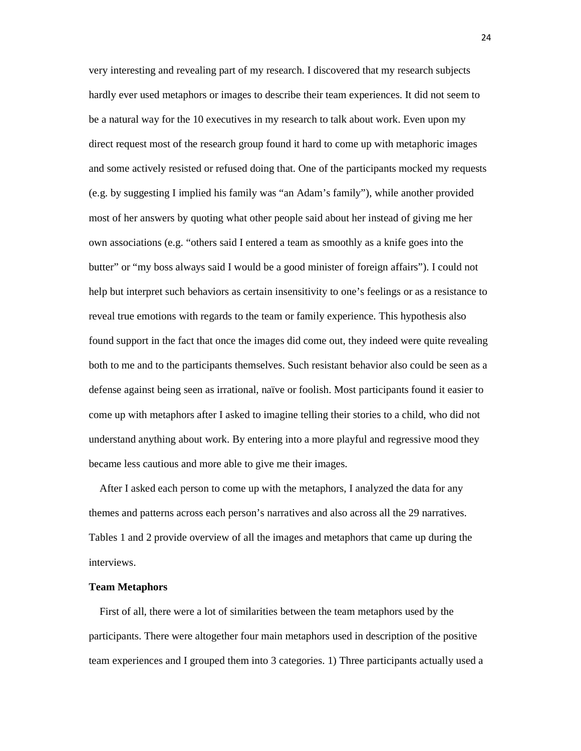very interesting and revealing part of my research. I discovered that my research subjects hardly ever used metaphors or images to describe their team experiences. It did not seem to be a natural way for the 10 executives in my research to talk about work. Even upon my direct request most of the research group found it hard to come up with metaphoric images and some actively resisted or refused doing that. One of the participants mocked my requests (e.g. by suggesting I implied his family was "an Adam's family"), while another provided most of her answers by quoting what other people said about her instead of giving me her own associations (e.g. "others said I entered a team as smoothly as a knife goes into the butter" or "my boss always said I would be a good minister of foreign affairs"). I could not help but interpret such behaviors as certain insensitivity to one's feelings or as a resistance to reveal true emotions with regards to the team or family experience. This hypothesis also found support in the fact that once the images did come out, they indeed were quite revealing both to me and to the participants themselves. Such resistant behavior also could be seen as a defense against being seen as irrational, naïve or foolish. Most participants found it easier to come up with metaphors after I asked to imagine telling their stories to a child, who did not understand anything about work. By entering into a more playful and regressive mood they became less cautious and more able to give me their images.

 After I asked each person to come up with the metaphors, I analyzed the data for any themes and patterns across each person's narratives and also across all the 29 narratives. Tables 1 and 2 provide overview of all the images and metaphors that came up during the interviews.

## **Team Metaphors**

 First of all, there were a lot of similarities between the team metaphors used by the participants. There were altogether four main metaphors used in description of the positive team experiences and I grouped them into 3 categories. 1) Three participants actually used a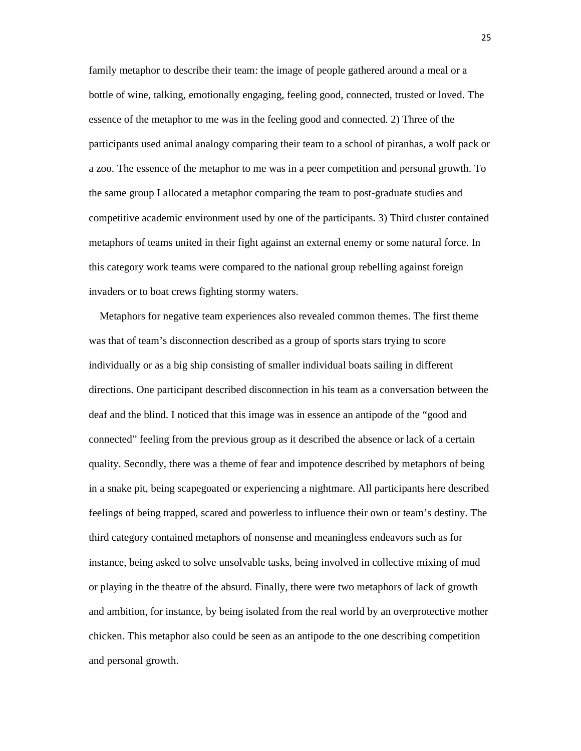family metaphor to describe their team: the image of people gathered around a meal or a bottle of wine, talking, emotionally engaging, feeling good, connected, trusted or loved. The essence of the metaphor to me was in the feeling good and connected. 2) Three of the participants used animal analogy comparing their team to a school of piranhas, a wolf pack or a zoo. The essence of the metaphor to me was in a peer competition and personal growth. To the same group I allocated a metaphor comparing the team to post-graduate studies and competitive academic environment used by one of the participants. 3) Third cluster contained metaphors of teams united in their fight against an external enemy or some natural force. In this category work teams were compared to the national group rebelling against foreign invaders or to boat crews fighting stormy waters.

 Metaphors for negative team experiences also revealed common themes. The first theme was that of team's disconnection described as a group of sports stars trying to score individually or as a big ship consisting of smaller individual boats sailing in different directions. One participant described disconnection in his team as a conversation between the deaf and the blind. I noticed that this image was in essence an antipode of the "good and connected" feeling from the previous group as it described the absence or lack of a certain quality. Secondly, there was a theme of fear and impotence described by metaphors of being in a snake pit, being scapegoated or experiencing a nightmare. All participants here described feelings of being trapped, scared and powerless to influence their own or team's destiny. The third category contained metaphors of nonsense and meaningless endeavors such as for instance, being asked to solve unsolvable tasks, being involved in collective mixing of mud or playing in the theatre of the absurd. Finally, there were two metaphors of lack of growth and ambition, for instance, by being isolated from the real world by an overprotective mother chicken. This metaphor also could be seen as an antipode to the one describing competition and personal growth.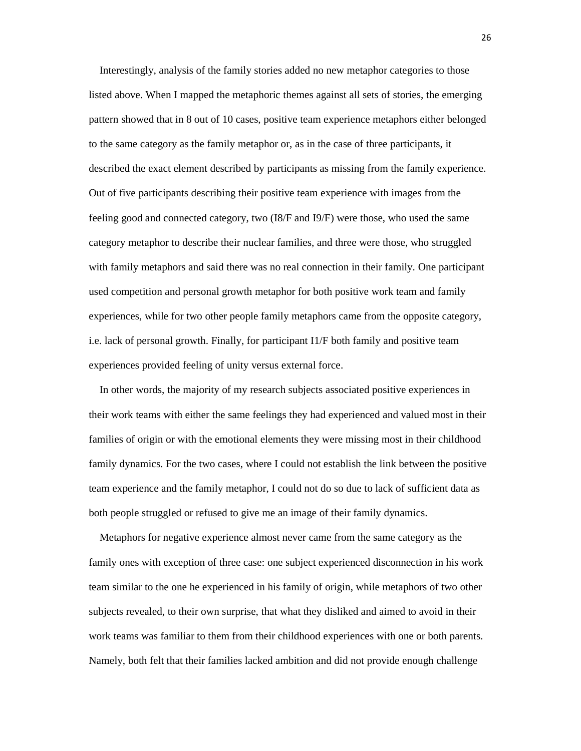Interestingly, analysis of the family stories added no new metaphor categories to those listed above. When I mapped the metaphoric themes against all sets of stories, the emerging pattern showed that in 8 out of 10 cases, positive team experience metaphors either belonged to the same category as the family metaphor or, as in the case of three participants, it described the exact element described by participants as missing from the family experience. Out of five participants describing their positive team experience with images from the feeling good and connected category, two (I8/F and I9/F) were those, who used the same category metaphor to describe their nuclear families, and three were those, who struggled with family metaphors and said there was no real connection in their family. One participant used competition and personal growth metaphor for both positive work team and family experiences, while for two other people family metaphors came from the opposite category, i.e. lack of personal growth. Finally, for participant I1/F both family and positive team experiences provided feeling of unity versus external force.

 In other words, the majority of my research subjects associated positive experiences in their work teams with either the same feelings they had experienced and valued most in their families of origin or with the emotional elements they were missing most in their childhood family dynamics. For the two cases, where I could not establish the link between the positive team experience and the family metaphor, I could not do so due to lack of sufficient data as both people struggled or refused to give me an image of their family dynamics.

 Metaphors for negative experience almost never came from the same category as the family ones with exception of three case: one subject experienced disconnection in his work team similar to the one he experienced in his family of origin, while metaphors of two other subjects revealed, to their own surprise, that what they disliked and aimed to avoid in their work teams was familiar to them from their childhood experiences with one or both parents. Namely, both felt that their families lacked ambition and did not provide enough challenge

26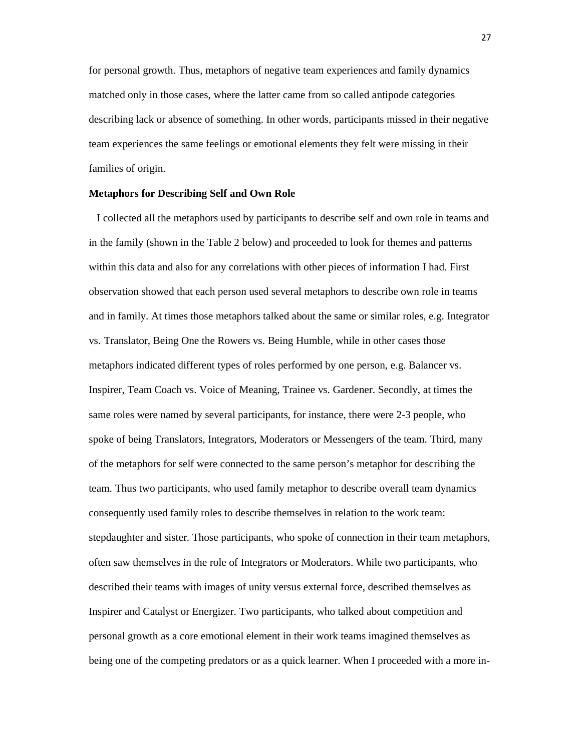for personal growth. Thus, metaphors of negative team experiences and family dynamics matched only in those cases, where the latter came from so called antipode categories describing lack or absence of something. In other words, participants missed in their negative team experiences the same feelings or emotional elements they felt were missing in their families of origin.

### **Metaphors for Describing Self and Own Role**

 I collected all the metaphors used by participants to describe self and own role in teams and in the family (shown in the Table 2 below) and proceeded to look for themes and patterns within this data and also for any correlations with other pieces of information I had. First observation showed that each person used several metaphors to describe own role in teams and in family. At times those metaphors talked about the same or similar roles, e.g. Integrator vs. Translator, Being One the Rowers vs. Being Humble, while in other cases those metaphors indicated different types of roles performed by one person, e.g. Balancer vs. Inspirer, Team Coach vs. Voice of Meaning, Trainee vs. Gardener. Secondly, at times the same roles were named by several participants, for instance, there were 2-3 people, who spoke of being Translators, Integrators, Moderators or Messengers of the team. Third, many of the metaphors for self were connected to the same person's metaphor for describing the team. Thus two participants, who used family metaphor to describe overall team dynamics consequently used family roles to describe themselves in relation to the work team: stepdaughter and sister. Those participants, who spoke of connection in their team metaphors, often saw themselves in the role of Integrators or Moderators. While two participants, who described their teams with images of unity versus external force, described themselves as Inspirer and Catalyst or Energizer. Two participants, who talked about competition and personal growth as a core emotional element in their work teams imagined themselves as being one of the competing predators or as a quick learner. When I proceeded with a more in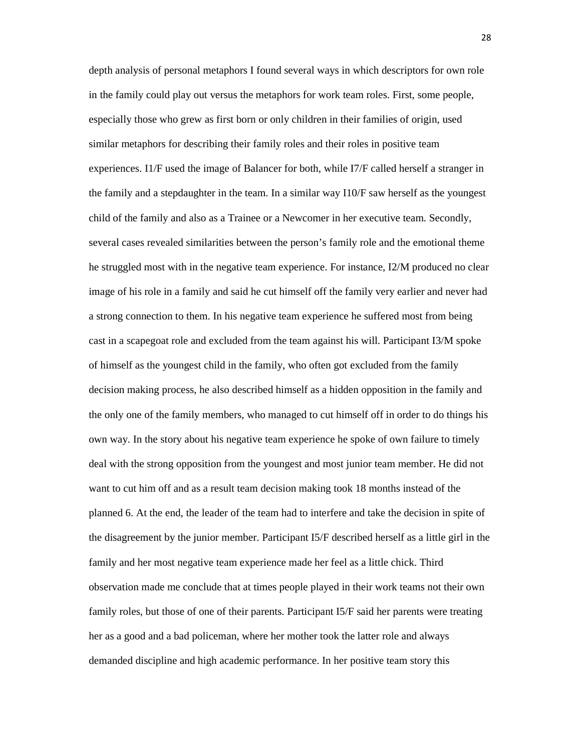depth analysis of personal metaphors I found several ways in which descriptors for own role in the family could play out versus the metaphors for work team roles. First, some people, especially those who grew as first born or only children in their families of origin, used similar metaphors for describing their family roles and their roles in positive team experiences. I1/F used the image of Balancer for both, while I7/F called herself a stranger in the family and a stepdaughter in the team. In a similar way I10/F saw herself as the youngest child of the family and also as a Trainee or a Newcomer in her executive team. Secondly, several cases revealed similarities between the person's family role and the emotional theme he struggled most with in the negative team experience. For instance, I2/M produced no clear image of his role in a family and said he cut himself off the family very earlier and never had a strong connection to them. In his negative team experience he suffered most from being cast in a scapegoat role and excluded from the team against his will. Participant I3/M spoke of himself as the youngest child in the family, who often got excluded from the family decision making process, he also described himself as a hidden opposition in the family and the only one of the family members, who managed to cut himself off in order to do things his own way. In the story about his negative team experience he spoke of own failure to timely deal with the strong opposition from the youngest and most junior team member. He did not want to cut him off and as a result team decision making took 18 months instead of the planned 6. At the end, the leader of the team had to interfere and take the decision in spite of the disagreement by the junior member. Participant I5/F described herself as a little girl in the family and her most negative team experience made her feel as a little chick. Third observation made me conclude that at times people played in their work teams not their own family roles, but those of one of their parents. Participant I5/F said her parents were treating her as a good and a bad policeman, where her mother took the latter role and always demanded discipline and high academic performance. In her positive team story this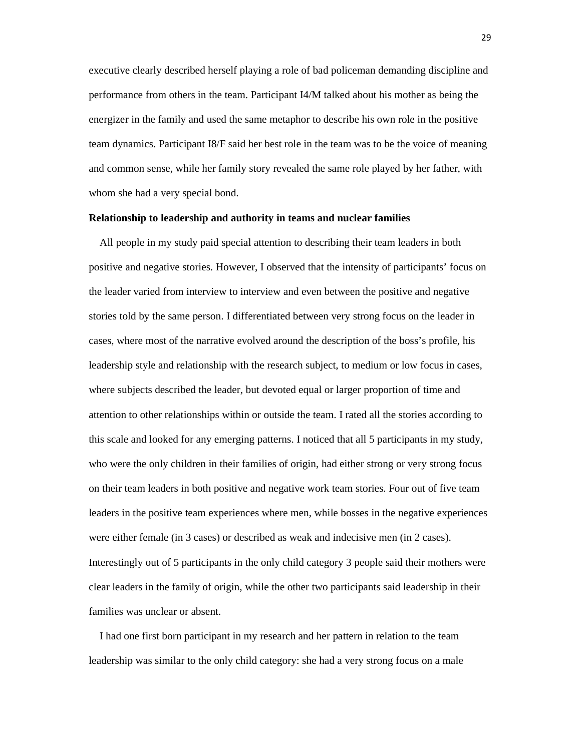executive clearly described herself playing a role of bad policeman demanding discipline and performance from others in the team. Participant I4/M talked about his mother as being the energizer in the family and used the same metaphor to describe his own role in the positive team dynamics. Participant I8/F said her best role in the team was to be the voice of meaning and common sense, while her family story revealed the same role played by her father, with whom she had a very special bond.

## **Relationship to leadership and authority in teams and nuclear families**

 All people in my study paid special attention to describing their team leaders in both positive and negative stories. However, I observed that the intensity of participants' focus on the leader varied from interview to interview and even between the positive and negative stories told by the same person. I differentiated between very strong focus on the leader in cases, where most of the narrative evolved around the description of the boss's profile, his leadership style and relationship with the research subject, to medium or low focus in cases, where subjects described the leader, but devoted equal or larger proportion of time and attention to other relationships within or outside the team. I rated all the stories according to this scale and looked for any emerging patterns. I noticed that all 5 participants in my study, who were the only children in their families of origin, had either strong or very strong focus on their team leaders in both positive and negative work team stories. Four out of five team leaders in the positive team experiences where men, while bosses in the negative experiences were either female (in 3 cases) or described as weak and indecisive men (in 2 cases). Interestingly out of 5 participants in the only child category 3 people said their mothers were clear leaders in the family of origin, while the other two participants said leadership in their families was unclear or absent.

 I had one first born participant in my research and her pattern in relation to the team leadership was similar to the only child category: she had a very strong focus on a male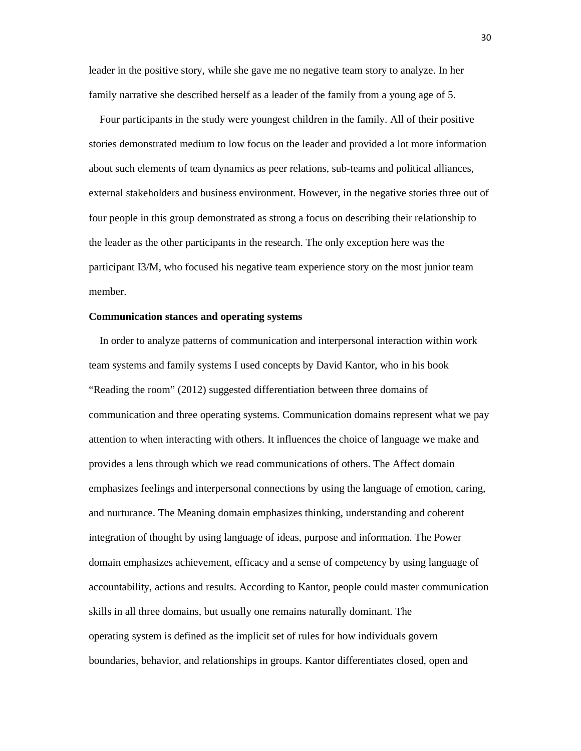leader in the positive story, while she gave me no negative team story to analyze. In her family narrative she described herself as a leader of the family from a young age of 5.

 Four participants in the study were youngest children in the family. All of their positive stories demonstrated medium to low focus on the leader and provided a lot more information about such elements of team dynamics as peer relations, sub-teams and political alliances, external stakeholders and business environment. However, in the negative stories three out of four people in this group demonstrated as strong a focus on describing their relationship to the leader as the other participants in the research. The only exception here was the participant I3/M, who focused his negative team experience story on the most junior team member.

### **Communication stances and operating systems**

 In order to analyze patterns of communication and interpersonal interaction within work team systems and family systems I used concepts by David Kantor, who in his book "Reading the room" (2012) suggested differentiation between three domains of communication and three operating systems. Communication domains represent what we pay attention to when interacting with others. It influences the choice of language we make and provides a lens through which we read communications of others. The Affect domain emphasizes feelings and interpersonal connections by using the language of emotion, caring, and nurturance. The Meaning domain emphasizes thinking, understanding and coherent integration of thought by using language of ideas, purpose and information. The Power domain emphasizes achievement, efficacy and a sense of competency by using language of accountability, actions and results. According to Kantor, people could master communication skills in all three domains, but usually one remains naturally dominant. The operating system is defined as the implicit set of rules for how individuals govern boundaries, behavior, and relationships in groups. Kantor differentiates closed, open and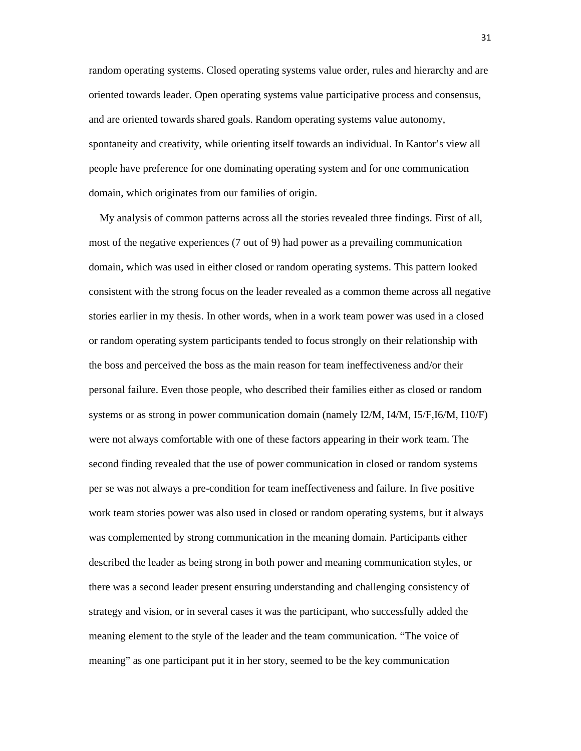random operating systems. Closed operating systems value order, rules and hierarchy and are oriented towards leader. Open operating systems value participative process and consensus, and are oriented towards shared goals. Random operating systems value autonomy, spontaneity and creativity, while orienting itself towards an individual. In Kantor's view all people have preference for one dominating operating system and for one communication domain, which originates from our families of origin.

 My analysis of common patterns across all the stories revealed three findings. First of all, most of the negative experiences (7 out of 9) had power as a prevailing communication domain, which was used in either closed or random operating systems. This pattern looked consistent with the strong focus on the leader revealed as a common theme across all negative stories earlier in my thesis. In other words, when in a work team power was used in a closed or random operating system participants tended to focus strongly on their relationship with the boss and perceived the boss as the main reason for team ineffectiveness and/or their personal failure. Even those people, who described their families either as closed or random systems or as strong in power communication domain (namely I2/M, I4/M, I5/F,I6/M, I10/F) were not always comfortable with one of these factors appearing in their work team. The second finding revealed that the use of power communication in closed or random systems per se was not always a pre-condition for team ineffectiveness and failure. In five positive work team stories power was also used in closed or random operating systems, but it always was complemented by strong communication in the meaning domain. Participants either described the leader as being strong in both power and meaning communication styles, or there was a second leader present ensuring understanding and challenging consistency of strategy and vision, or in several cases it was the participant, who successfully added the meaning element to the style of the leader and the team communication. "The voice of meaning" as one participant put it in her story, seemed to be the key communication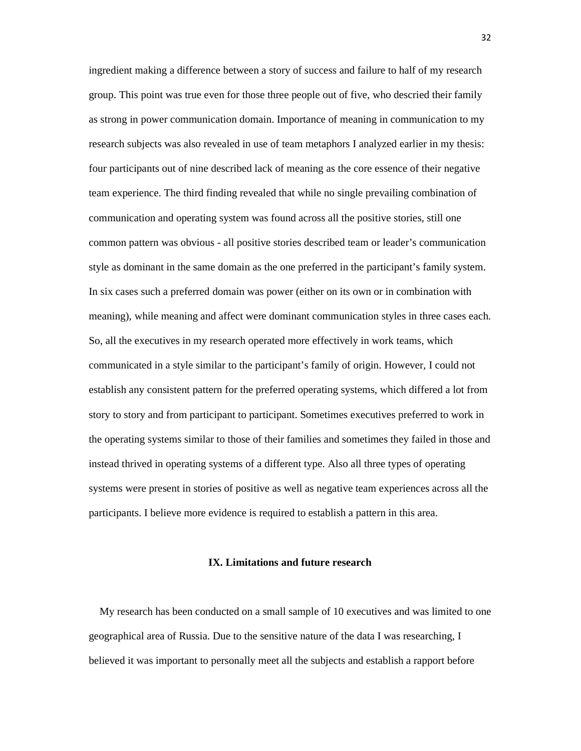ingredient making a difference between a story of success and failure to half of my research group. This point was true even for those three people out of five, who descried their family as strong in power communication domain. Importance of meaning in communication to my research subjects was also revealed in use of team metaphors I analyzed earlier in my thesis: four participants out of nine described lack of meaning as the core essence of their negative team experience. The third finding revealed that while no single prevailing combination of communication and operating system was found across all the positive stories, still one common pattern was obvious - all positive stories described team or leader's communication style as dominant in the same domain as the one preferred in the participant's family system. In six cases such a preferred domain was power (either on its own or in combination with meaning), while meaning and affect were dominant communication styles in three cases each. So, all the executives in my research operated more effectively in work teams, which communicated in a style similar to the participant's family of origin. However, I could not establish any consistent pattern for the preferred operating systems, which differed a lot from story to story and from participant to participant. Sometimes executives preferred to work in the operating systems similar to those of their families and sometimes they failed in those and instead thrived in operating systems of a different type. Also all three types of operating systems were present in stories of positive as well as negative team experiences across all the participants. I believe more evidence is required to establish a pattern in this area.

# **IX. Limitations and future research**

 My research has been conducted on a small sample of 10 executives and was limited to one geographical area of Russia. Due to the sensitive nature of the data I was researching, I believed it was important to personally meet all the subjects and establish a rapport before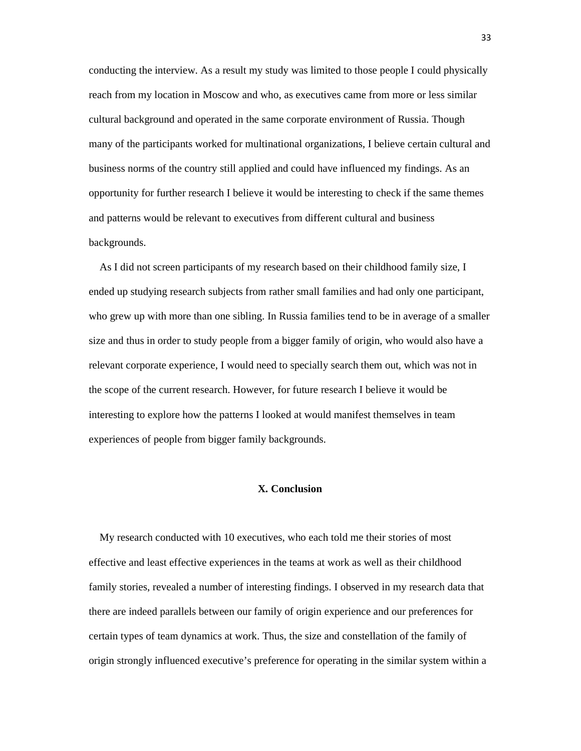conducting the interview. As a result my study was limited to those people I could physically reach from my location in Moscow and who, as executives came from more or less similar cultural background and operated in the same corporate environment of Russia. Though many of the participants worked for multinational organizations, I believe certain cultural and business norms of the country still applied and could have influenced my findings. As an opportunity for further research I believe it would be interesting to check if the same themes and patterns would be relevant to executives from different cultural and business backgrounds.

 As I did not screen participants of my research based on their childhood family size, I ended up studying research subjects from rather small families and had only one participant, who grew up with more than one sibling. In Russia families tend to be in average of a smaller size and thus in order to study people from a bigger family of origin, who would also have a relevant corporate experience, I would need to specially search them out, which was not in the scope of the current research. However, for future research I believe it would be interesting to explore how the patterns I looked at would manifest themselves in team experiences of people from bigger family backgrounds.

## **X. Conclusion**

 My research conducted with 10 executives, who each told me their stories of most effective and least effective experiences in the teams at work as well as their childhood family stories, revealed a number of interesting findings. I observed in my research data that there are indeed parallels between our family of origin experience and our preferences for certain types of team dynamics at work. Thus, the size and constellation of the family of origin strongly influenced executive's preference for operating in the similar system within a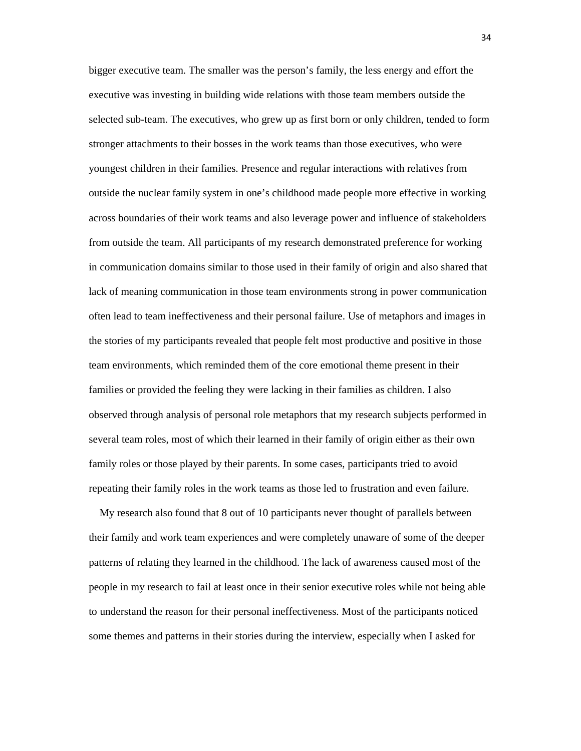bigger executive team. The smaller was the person's family, the less energy and effort the executive was investing in building wide relations with those team members outside the selected sub-team. The executives, who grew up as first born or only children, tended to form stronger attachments to their bosses in the work teams than those executives, who were youngest children in their families. Presence and regular interactions with relatives from outside the nuclear family system in one's childhood made people more effective in working across boundaries of their work teams and also leverage power and influence of stakeholders from outside the team. All participants of my research demonstrated preference for working in communication domains similar to those used in their family of origin and also shared that lack of meaning communication in those team environments strong in power communication often lead to team ineffectiveness and their personal failure. Use of metaphors and images in the stories of my participants revealed that people felt most productive and positive in those team environments, which reminded them of the core emotional theme present in their families or provided the feeling they were lacking in their families as children. I also observed through analysis of personal role metaphors that my research subjects performed in several team roles, most of which their learned in their family of origin either as their own family roles or those played by their parents. In some cases, participants tried to avoid repeating their family roles in the work teams as those led to frustration and even failure.

 My research also found that 8 out of 10 participants never thought of parallels between their family and work team experiences and were completely unaware of some of the deeper patterns of relating they learned in the childhood. The lack of awareness caused most of the people in my research to fail at least once in their senior executive roles while not being able to understand the reason for their personal ineffectiveness. Most of the participants noticed some themes and patterns in their stories during the interview, especially when I asked for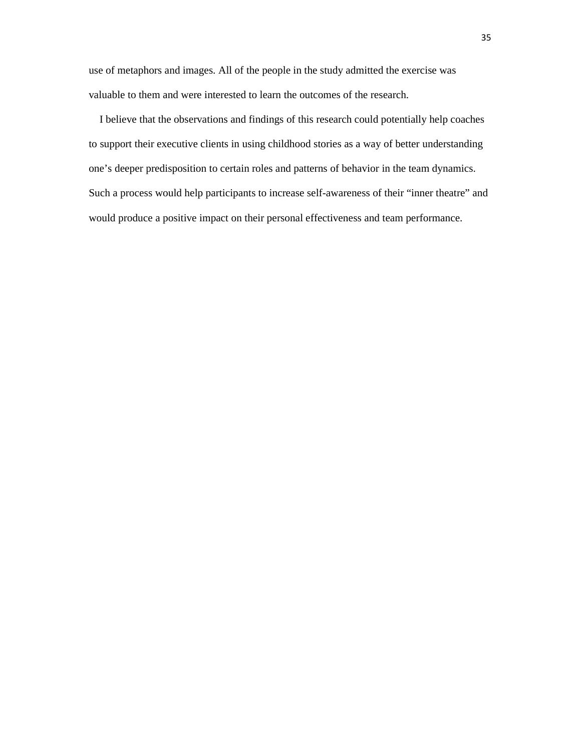use of metaphors and images. All of the people in the study admitted the exercise was valuable to them and were interested to learn the outcomes of the research.

 I believe that the observations and findings of this research could potentially help coaches to support their executive clients in using childhood stories as a way of better understanding one's deeper predisposition to certain roles and patterns of behavior in the team dynamics. Such a process would help participants to increase self-awareness of their "inner theatre" and would produce a positive impact on their personal effectiveness and team performance.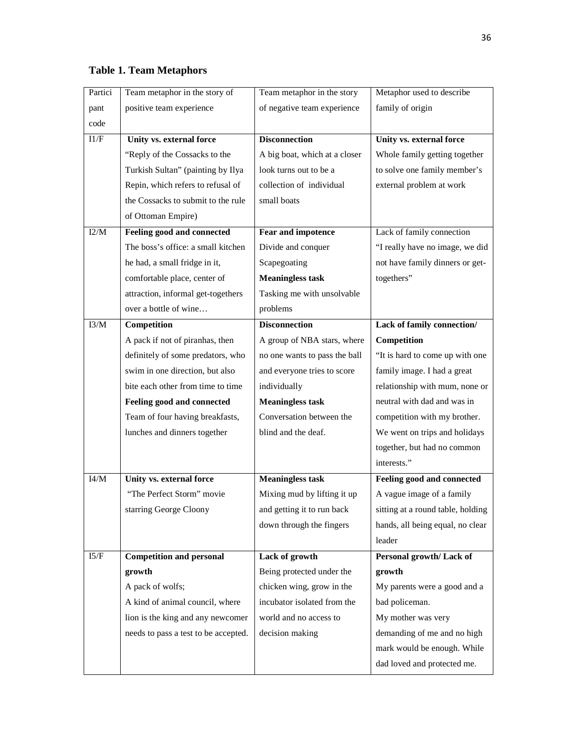# **Table 1. Team Metaphors**

| Partici | Team metaphor in the story of        | Team metaphor in the story    | Metaphor used to describe         |
|---------|--------------------------------------|-------------------------------|-----------------------------------|
| pant    | positive team experience             | of negative team experience   | family of origin                  |
| code    |                                      |                               |                                   |
| I1/F    | Unity vs. external force             | <b>Disconnection</b>          | Unity vs. external force          |
|         | "Reply of the Cossacks to the        | A big boat, which at a closer | Whole family getting together     |
|         | Turkish Sultan" (painting by Ilya    | look turns out to be a        | to solve one family member's      |
|         | Repin, which refers to refusal of    | collection of individual      | external problem at work          |
|         | the Cossacks to submit to the rule   | small boats                   |                                   |
|         | of Ottoman Empire)                   |                               |                                   |
| I2/M    | Feeling good and connected           | <b>Fear and impotence</b>     | Lack of family connection         |
|         | The boss's office: a small kitchen   | Divide and conquer            | "I really have no image, we did   |
|         | he had, a small fridge in it,        | Scapegoating                  | not have family dinners or get-   |
|         | comfortable place, center of         | <b>Meaningless task</b>       | togethers"                        |
|         | attraction, informal get-togethers   | Tasking me with unsolvable    |                                   |
|         | over a bottle of wine                | problems                      |                                   |
| I3/M    | Competition                          | <b>Disconnection</b>          | Lack of family connection/        |
|         | A pack if not of piranhas, then      | A group of NBA stars, where   | Competition                       |
|         | definitely of some predators, who    | no one wants to pass the ball | "It is hard to come up with one   |
|         | swim in one direction, but also      | and everyone tries to score   | family image. I had a great       |
|         | bite each other from time to time    | individually                  | relationship with mum, none or    |
|         | Feeling good and connected           | <b>Meaningless task</b>       | neutral with dad and was in       |
|         | Team of four having breakfasts,      | Conversation between the      | competition with my brother.      |
|         | lunches and dinners together         | blind and the deaf.           | We went on trips and holidays     |
|         |                                      |                               | together, but had no common       |
|         |                                      |                               | interests."                       |
| I4/M    | Unity vs. external force             | <b>Meaningless task</b>       | Feeling good and connected        |
|         | "The Perfect Storm" movie            | Mixing mud by lifting it up   | A vague image of a family         |
|         | starring George Cloony               | and getting it to run back    | sitting at a round table, holding |
|         |                                      | down through the fingers      | hands, all being equal, no clear  |
|         |                                      |                               | leader                            |
| 15/F    | <b>Competition and personal</b>      | Lack of growth                | Personal growth/Lack of           |
|         | growth                               | Being protected under the     | growth                            |
|         | A pack of wolfs;                     | chicken wing, grow in the     | My parents were a good and a      |
|         | A kind of animal council, where      | incubator isolated from the   | bad policeman.                    |
|         | lion is the king and any newcomer    | world and no access to        | My mother was very                |
|         | needs to pass a test to be accepted. | decision making               | demanding of me and no high       |
|         |                                      |                               | mark would be enough. While       |
|         |                                      |                               | dad loved and protected me.       |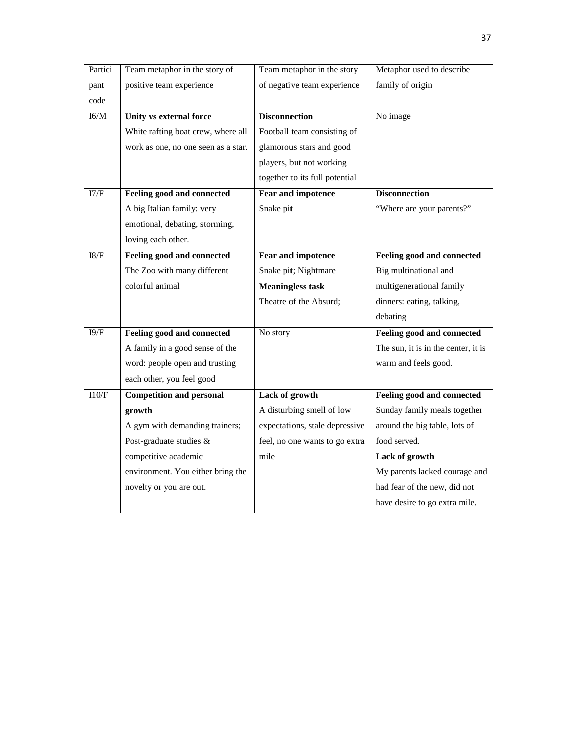| Partici | Team metaphor in the story of       | Team metaphor in the story     | Metaphor used to describe           |
|---------|-------------------------------------|--------------------------------|-------------------------------------|
| pant    | positive team experience            | of negative team experience    | family of origin                    |
| code    |                                     |                                |                                     |
| I6/M    | Unity vs external force             | <b>Disconnection</b>           | No image                            |
|         | White rafting boat crew, where all  | Football team consisting of    |                                     |
|         | work as one, no one seen as a star. | glamorous stars and good       |                                     |
|         |                                     | players, but not working       |                                     |
|         |                                     | together to its full potential |                                     |
| I7/F    | <b>Feeling good and connected</b>   | <b>Fear and impotence</b>      | <b>Disconnection</b>                |
|         | A big Italian family: very          | Snake pit                      | "Where are your parents?"           |
|         | emotional, debating, storming,      |                                |                                     |
|         | loving each other.                  |                                |                                     |
| $18/F$  | <b>Feeling good and connected</b>   | <b>Fear and impotence</b>      | Feeling good and connected          |
|         | The Zoo with many different         | Snake pit; Nightmare           | Big multinational and               |
|         | colorful animal                     | <b>Meaningless task</b>        | multigenerational family            |
|         |                                     | Theatre of the Absurd;         | dinners: eating, talking,           |
|         |                                     |                                | debating                            |
| 19/F    | Feeling good and connected          | No story                       | Feeling good and connected          |
|         | A family in a good sense of the     |                                | The sun, it is in the center, it is |
|         | word: people open and trusting      |                                | warm and feels good.                |
|         | each other, you feel good           |                                |                                     |
| $110/F$ | <b>Competition and personal</b>     | Lack of growth                 | Feeling good and connected          |
|         | growth                              | A disturbing smell of low      | Sunday family meals together        |
|         | A gym with demanding trainers;      | expectations, stale depressive | around the big table, lots of       |
|         | Post-graduate studies &             | feel, no one wants to go extra | food served.                        |
|         | competitive academic                | mile                           | Lack of growth                      |
|         | environment. You either bring the   |                                | My parents lacked courage and       |
|         | novelty or you are out.             |                                | had fear of the new, did not        |
|         |                                     |                                | have desire to go extra mile.       |
|         |                                     |                                |                                     |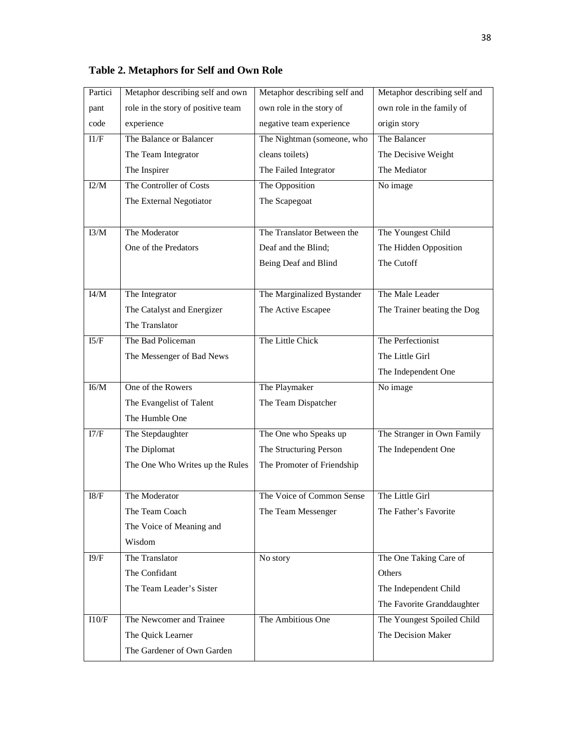| Partici | Metaphor describing self and own   | Metaphor describing self and | Metaphor describing self and |
|---------|------------------------------------|------------------------------|------------------------------|
| pant    | role in the story of positive team | own role in the story of     | own role in the family of    |
| code    | experience                         | negative team experience     | origin story                 |
| 11/F    | The Balance or Balancer            | The Nightman (someone, who   | The Balancer                 |
|         | The Team Integrator                | cleans toilets)              | The Decisive Weight          |
|         | The Inspirer                       | The Failed Integrator        | The Mediator                 |
| I2/M    | The Controller of Costs            | The Opposition               | No image                     |
|         | The External Negotiator            | The Scapegoat                |                              |
|         |                                    |                              |                              |
| I3/M    | The Moderator                      | The Translator Between the   | The Youngest Child           |
|         | One of the Predators               | Deaf and the Blind;          | The Hidden Opposition        |
|         |                                    | Being Deaf and Blind         | The Cutoff                   |
|         |                                    |                              |                              |
| I4/M    | The Integrator                     | The Marginalized Bystander   | The Male Leader              |
|         | The Catalyst and Energizer         | The Active Escapee           | The Trainer beating the Dog  |
|         | The Translator                     |                              |                              |
| I5/F    | The Bad Policeman                  | The Little Chick             | The Perfectionist            |
|         | The Messenger of Bad News          |                              | The Little Girl              |
|         |                                    |                              | The Independent One          |
| I6/M    | One of the Rowers                  | The Playmaker                | No image                     |
|         | The Evangelist of Talent           | The Team Dispatcher          |                              |
|         | The Humble One                     |                              |                              |
| I7/F    | The Stepdaughter                   | The One who Speaks up        | The Stranger in Own Family   |
|         | The Diplomat                       | The Structuring Person       | The Independent One          |
|         | The One Who Writes up the Rules    | The Promoter of Friendship   |                              |
|         |                                    |                              |                              |
| 18/F    | The Moderator                      | The Voice of Common Sense    | The Little Girl              |
|         | The Team Coach                     | The Team Messenger           | The Father's Favorite        |
|         | The Voice of Meaning and           |                              |                              |
|         | Wisdom                             |                              |                              |
| I9/F    | The Translator                     | No story                     | The One Taking Care of       |
|         | The Confidant                      |                              | Others                       |
|         | The Team Leader's Sister           |                              | The Independent Child        |
|         |                                    |                              | The Favorite Granddaughter   |
| 110/F   | The Newcomer and Trainee           | The Ambitious One            | The Youngest Spoiled Child   |
|         | The Quick Learner                  |                              | The Decision Maker           |
|         | The Gardener of Own Garden         |                              |                              |

**Table 2. Metaphors for Self and Own Role**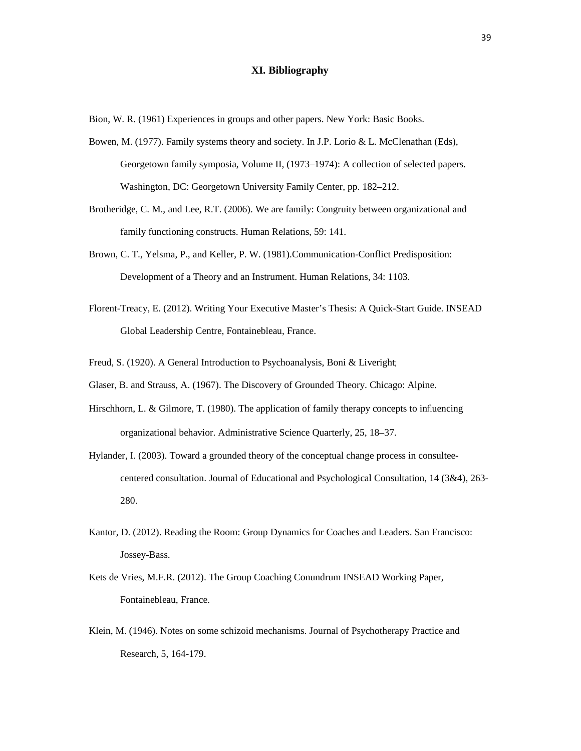## **XI. Bibliography**

Bion, W. R. (1961) Experiences in groups and other papers. New York: Basic Books.

- Bowen, M. (1977). Family systems theory and society. In J.P. Lorio & L. McClenathan (Eds), Georgetown family symposia, Volume II, (1973–1974): A collection of selected papers. Washington, DC: Georgetown University Family Center, pp. 182–212.
- Brotheridge, C. M., and Lee, R.T. (2006). We are family: Congruity between organizational and family functioning constructs. Human Relations, 59: 141.
- Brown, C. T., Yelsma, P., and Keller, P. W. (1981).Communication-Conflict Predisposition: Development of a Theory and an Instrument. Human Relations, 34: 1103.
- Florent-Treacy, E. (2012). Writing Your Executive Master's Thesis: A Quick-Start Guide. INSEAD Global Leadership Centre, Fontainebleau, France.
- Freud, S. (1920). A General Introduction to Psychoanalysis, Boni & Liveright;
- Glaser, B. and Strauss, A. (1967). The Discovery of Grounded Theory. Chicago: Alpine.
- Hirschhorn, L. & Gilmore, T. (1980). The application of family therapy concepts to influencing organizational behavior. Administrative Science Quarterly, 25, 18–37.
- Hylander, I. (2003). Toward a grounded theory of the conceptual change process in consultee centered consultation. Journal of Educational and Psychological Consultation, 14 (3&4), 263- 280.
- Kantor, D. (2012). Reading the Room: Group Dynamics for Coaches and Leaders. San Francisco: Jossey-Bass.
- Kets de Vries, M.F.R. (2012). The Group Coaching Conundrum INSEAD Working Paper, Fontainebleau, France.
- Klein, M. (1946). Notes on some schizoid mechanisms. Journal of Psychotherapy Practice and Research, 5, 164-179.